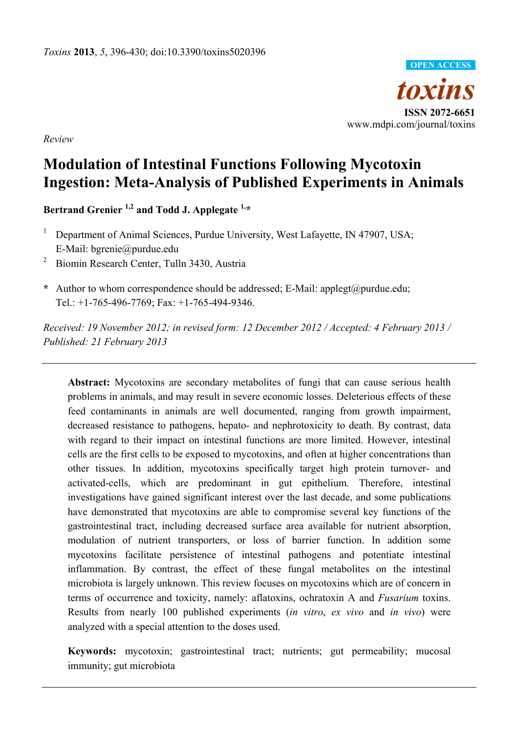

*Review* 

# **Modulation of Intestinal Functions Following Mycotoxin Ingestion: Meta-Analysis of Published Experiments in Animals**

**Bertrand Grenier 1,2 and Todd J. Applegate 1,\*** 

- 1 Department of Animal Sciences, Purdue University, West Lafayette, IN 47907, USA; E-Mail: bgrenie@purdue.edu
- <sup>2</sup> Biomin Research Center, Tulln 3430, Austria
- **\*** Author to whom correspondence should be addressed; E-Mail: applegt@purdue.edu; Tel.: +1-765-496-7769; Fax: +1-765-494-9346.

*Received: 19 November 2012; in revised form: 12 December 2012 / Accepted: 4 February 2013 / Published: 21 February 2013* 

**Abstract:** Mycotoxins are secondary metabolites of fungi that can cause serious health problems in animals, and may result in severe economic losses. Deleterious effects of these feed contaminants in animals are well documented, ranging from growth impairment, decreased resistance to pathogens, hepato- and nephrotoxicity to death. By contrast, data with regard to their impact on intestinal functions are more limited. However, intestinal cells are the first cells to be exposed to mycotoxins, and often at higher concentrations than other tissues. In addition, mycotoxins specifically target high protein turnover- and activated-cells, which are predominant in gut epithelium. Therefore, intestinal investigations have gained significant interest over the last decade, and some publications have demonstrated that mycotoxins are able to compromise several key functions of the gastrointestinal tract, including decreased surface area available for nutrient absorption, modulation of nutrient transporters, or loss of barrier function. In addition some mycotoxins facilitate persistence of intestinal pathogens and potentiate intestinal inflammation. By contrast, the effect of these fungal metabolites on the intestinal microbiota is largely unknown. This review focuses on mycotoxins which are of concern in terms of occurrence and toxicity, namely: aflatoxins, ochratoxin A and *Fusarium* toxins. Results from nearly 100 published experiments (*in vitro*, *ex vivo* and *in vivo*) were analyzed with a special attention to the doses used.

**Keywords:** mycotoxin; gastrointestinal tract; nutrients; gut permeability; mucosal immunity; gut microbiota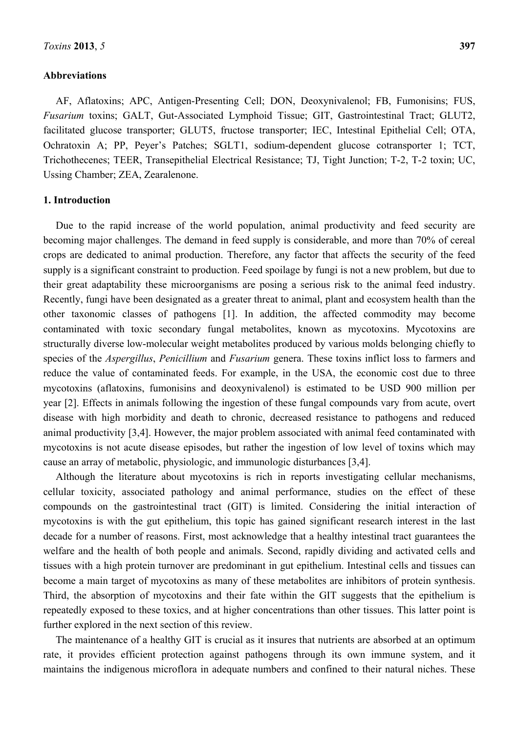### **Abbreviations**

AF, Aflatoxins; APC, Antigen-Presenting Cell; DON, Deoxynivalenol; FB, Fumonisins; FUS, *Fusarium* toxins; GALT, Gut-Associated Lymphoid Tissue; GIT, Gastrointestinal Tract; GLUT2, facilitated glucose transporter; GLUT5, fructose transporter; IEC, Intestinal Epithelial Cell; OTA, Ochratoxin A; PP, Peyer's Patches; SGLT1, sodium-dependent glucose cotransporter 1; TCT, Trichothecenes; TEER, Transepithelial Electrical Resistance; TJ, Tight Junction; T-2, T-2 toxin; UC, Ussing Chamber; ZEA, Zearalenone.

### **1. Introduction**

Due to the rapid increase of the world population, animal productivity and feed security are becoming major challenges. The demand in feed supply is considerable, and more than 70% of cereal crops are dedicated to animal production. Therefore, any factor that affects the security of the feed supply is a significant constraint to production. Feed spoilage by fungi is not a new problem, but due to their great adaptability these microorganisms are posing a serious risk to the animal feed industry. Recently, fungi have been designated as a greater threat to animal, plant and ecosystem health than the other taxonomic classes of pathogens [1]. In addition, the affected commodity may become contaminated with toxic secondary fungal metabolites, known as mycotoxins. Mycotoxins are structurally diverse low-molecular weight metabolites produced by various molds belonging chiefly to species of the *Aspergillus*, *Penicillium* and *Fusarium* genera. These toxins inflict loss to farmers and reduce the value of contaminated feeds. For example, in the USA, the economic cost due to three mycotoxins (aflatoxins, fumonisins and deoxynivalenol) is estimated to be USD 900 million per year [2]. Effects in animals following the ingestion of these fungal compounds vary from acute, overt disease with high morbidity and death to chronic, decreased resistance to pathogens and reduced animal productivity [3,4]. However, the major problem associated with animal feed contaminated with mycotoxins is not acute disease episodes, but rather the ingestion of low level of toxins which may cause an array of metabolic, physiologic, and immunologic disturbances [3,4].

Although the literature about mycotoxins is rich in reports investigating cellular mechanisms, cellular toxicity, associated pathology and animal performance, studies on the effect of these compounds on the gastrointestinal tract (GIT) is limited. Considering the initial interaction of mycotoxins is with the gut epithelium, this topic has gained significant research interest in the last decade for a number of reasons. First, most acknowledge that a healthy intestinal tract guarantees the welfare and the health of both people and animals. Second, rapidly dividing and activated cells and tissues with a high protein turnover are predominant in gut epithelium. Intestinal cells and tissues can become a main target of mycotoxins as many of these metabolites are inhibitors of protein synthesis. Third, the absorption of mycotoxins and their fate within the GIT suggests that the epithelium is repeatedly exposed to these toxics, and at higher concentrations than other tissues. This latter point is further explored in the next section of this review.

The maintenance of a healthy GIT is crucial as it insures that nutrients are absorbed at an optimum rate, it provides efficient protection against pathogens through its own immune system, and it maintains the indigenous microflora in adequate numbers and confined to their natural niches. These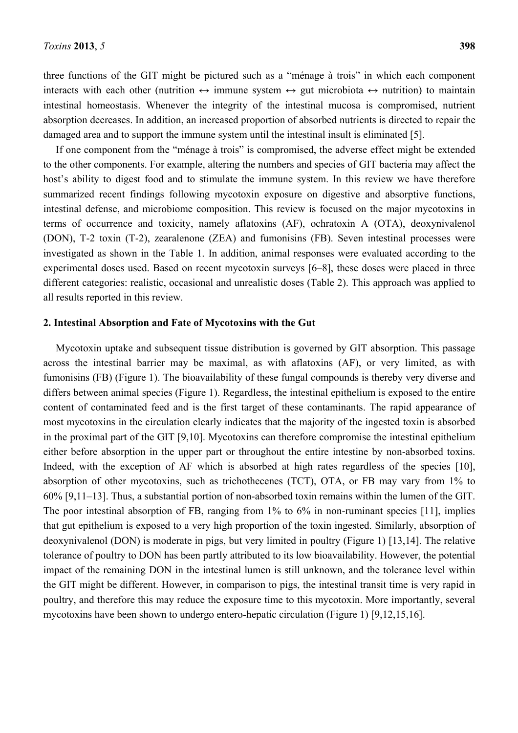three functions of the GIT might be pictured such as a "ménage à trois" in which each component interacts with each other (nutrition  $\leftrightarrow$  immune system  $\leftrightarrow$  gut microbiota  $\leftrightarrow$  nutrition) to maintain intestinal homeostasis. Whenever the integrity of the intestinal mucosa is compromised, nutrient absorption decreases. In addition, an increased proportion of absorbed nutrients is directed to repair the damaged area and to support the immune system until the intestinal insult is eliminated [5].

If one component from the "ménage à trois" is compromised, the adverse effect might be extended to the other components. For example, altering the numbers and species of GIT bacteria may affect the host's ability to digest food and to stimulate the immune system. In this review we have therefore summarized recent findings following mycotoxin exposure on digestive and absorptive functions, intestinal defense, and microbiome composition. This review is focused on the major mycotoxins in terms of occurrence and toxicity, namely aflatoxins (AF), ochratoxin A (OTA), deoxynivalenol (DON), T-2 toxin (T-2), zearalenone (ZEA) and fumonisins (FB). Seven intestinal processes were investigated as shown in the Table 1. In addition, animal responses were evaluated according to the experimental doses used. Based on recent mycotoxin surveys [6–8], these doses were placed in three different categories: realistic, occasional and unrealistic doses (Table 2). This approach was applied to all results reported in this review.

### **2. Intestinal Absorption and Fate of Mycotoxins with the Gut**

Mycotoxin uptake and subsequent tissue distribution is governed by GIT absorption. This passage across the intestinal barrier may be maximal, as with aflatoxins (AF), or very limited, as with fumonisins (FB) (Figure 1). The bioavailability of these fungal compounds is thereby very diverse and differs between animal species (Figure 1). Regardless, the intestinal epithelium is exposed to the entire content of contaminated feed and is the first target of these contaminants. The rapid appearance of most mycotoxins in the circulation clearly indicates that the majority of the ingested toxin is absorbed in the proximal part of the GIT [9,10]. Mycotoxins can therefore compromise the intestinal epithelium either before absorption in the upper part or throughout the entire intestine by non-absorbed toxins. Indeed, with the exception of AF which is absorbed at high rates regardless of the species [10], absorption of other mycotoxins, such as trichothecenes (TCT), OTA, or FB may vary from 1% to 60% [9,11–13]. Thus, a substantial portion of non-absorbed toxin remains within the lumen of the GIT. The poor intestinal absorption of FB, ranging from 1% to 6% in non-ruminant species [11], implies that gut epithelium is exposed to a very high proportion of the toxin ingested. Similarly, absorption of deoxynivalenol (DON) is moderate in pigs, but very limited in poultry (Figure 1) [13,14]. The relative tolerance of poultry to DON has been partly attributed to its low bioavailability. However, the potential impact of the remaining DON in the intestinal lumen is still unknown, and the tolerance level within the GIT might be different. However, in comparison to pigs, the intestinal transit time is very rapid in poultry, and therefore this may reduce the exposure time to this mycotoxin. More importantly, several mycotoxins have been shown to undergo entero-hepatic circulation (Figure 1) [9,12,15,16].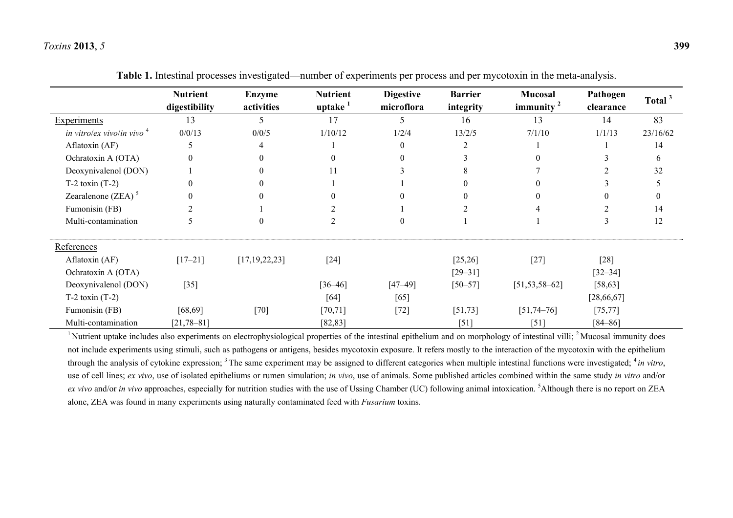### *Toxins* **2013**, *5* **399**

|                              | <b>Nutrient</b><br>digestibility | <b>Enzyme</b><br>activities | <b>Nutrient</b><br>uptake <sup>1</sup> | <b>Digestive</b><br>microflora | <b>Barrier</b><br>integrity | Mucosal<br>immunity $^2$ | Pathogen<br>clearance | Total <sup>3</sup> |
|------------------------------|----------------------------------|-----------------------------|----------------------------------------|--------------------------------|-----------------------------|--------------------------|-----------------------|--------------------|
| <b>Experiments</b>           | 13                               |                             | 17                                     | 5                              | 16                          | 13                       | 14                    | 83                 |
| in vitro/ex vivo/in vivo $4$ | 0/0/13                           | 0/0/5                       | 1/10/12                                | 1/2/4                          | 13/2/5                      | 7/1/10                   | 1/1/13                | 23/16/62           |
| Aflatoxin (AF)               | 5                                |                             |                                        | $\theta$                       | 2                           |                          |                       | 14                 |
| Ochratoxin A (OTA)           | $\theta$                         |                             | $\Omega$                               | $\Omega$                       |                             | 0                        |                       | 6                  |
| Deoxynivalenol (DON)         |                                  |                             | 11                                     |                                | 8                           |                          |                       | 32                 |
| $T-2$ toxin $(T-2)$          | $\theta$                         |                             |                                        |                                |                             |                          |                       |                    |
| Zearalenone $(ZEA)^5$        | $\theta$                         |                             | 0                                      |                                | $\theta$                    |                          | 0                     |                    |
| Fumonisin (FB)               |                                  |                             |                                        |                                |                             |                          |                       | 14                 |
| Multi-contamination          | 5                                | $\Omega$                    |                                        | $\theta$                       |                             |                          | 3                     | 12                 |
| References                   |                                  |                             |                                        |                                |                             |                          |                       |                    |
| Aflatoxin (AF)               | $[17-21]$                        | [17, 19, 22, 23]            | $[24]$                                 |                                | [25,26]                     | $[27]$                   | $[28]$                |                    |
| Ochratoxin A (OTA)           |                                  |                             |                                        |                                | $[29 - 31]$                 |                          | $[32 - 34]$           |                    |
| Deoxynivalenol (DON)         | $[35]$                           |                             | $[36 - 46]$                            | $[47 - 49]$                    | $[50 - 57]$                 | $[51, 53, 58 - 62]$      | [58, 63]              |                    |
| $T-2$ toxin $(T-2)$          |                                  |                             | $[64]$                                 | $[65]$                         |                             |                          | [28, 66, 67]          |                    |
| Fumonisin (FB)               | [68, 69]                         | $[70]$                      | [70, 71]                               | $[72]$                         | [51, 73]                    | $[51, 74 - 76]$          | [75, 77]              |                    |
| Multi-contamination          | $[21, 78 - 81]$                  |                             | [82, 83]                               |                                | [51]                        | [51]                     | $[84 - 86]$           |                    |

**Table 1.** Intestinal processes investigated—number of experiments per process and per mycotoxin in the meta-analysis.

<sup>1</sup> Nutrient uptake includes also experiments on electrophysiological properties of the intestinal epithelium and on morphology of intestinal villi; <sup>2</sup> Mucosal immunity does not include experiments using stimuli, such as pathogens or antigens, besides mycotoxin exposure. It refers mostly to the interaction of the mycotoxin with the epithelium through the analysis of cytokine expression; <sup>3</sup>The same experiment may be assigned to different categories when multiple intestinal functions were investigated; <sup>4</sup>*in vitro*, use of cell lines; *ex vivo*, use of isolated epitheliums or rumen simulation; *in vivo*, use of animals. Some published articles combined within the same study *in vitro* and/or *ex vivo* and/or *in vivo* approaches, especially for nutrition studies with the use of Ussing Chamber (UC) following animal intoxication. <sup>5</sup>Although there is no report on ZEA alone, ZEA was found in many experiments using naturally contaminated feed with *Fusarium* toxins.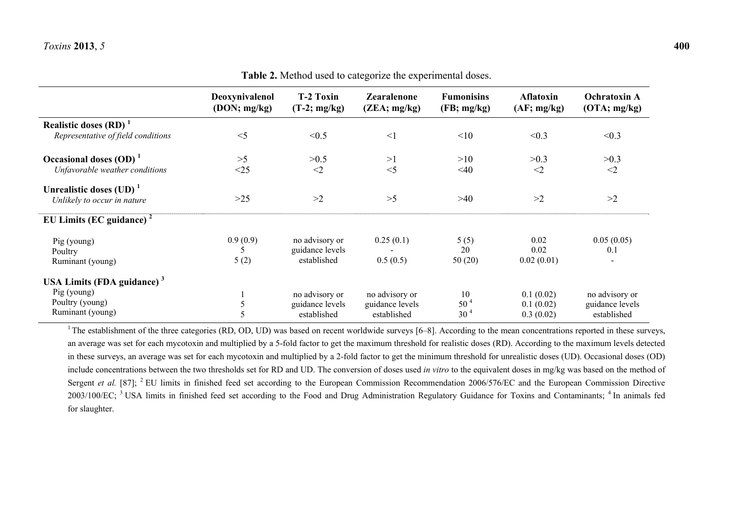|                                        | Deoxynivalenol<br>(DON; mg/kg) | <b>T-2 Toxin</b><br>$(T-2; mg/kg)$ | <b>Zearalenone</b><br>(ZEA; mg/kg) | <b>Fumonisins</b><br>(FB; mg/kg) | <b>Aflatoxin</b><br>(AF; mg/kg) | <b>Ochratoxin A</b><br>(OTA; mg/kg) |
|----------------------------------------|--------------------------------|------------------------------------|------------------------------------|----------------------------------|---------------------------------|-------------------------------------|
| Realistic doses (RD) <sup>1</sup>      |                                |                                    |                                    |                                  |                                 |                                     |
| Representative of field conditions     | $<$ 5                          | < 0.5                              | $\leq$ 1                           | <10                              | < 0.3                           | < 0.3                               |
| Occasional doses $(OD)^{-1}$           | >5                             | >0.5                               | >1                                 | >10                              | >0.3                            | >0.3                                |
| Unfavorable weather conditions         | $<$ 25                         | $<$ 2                              | $<$ 5                              | $<$ 40                           | $\leq$ 2                        | $\leq$ 2                            |
| Unrealistic doses $(UD)^{-1}$          |                                |                                    |                                    |                                  |                                 |                                     |
| Unlikely to occur in nature            | $>25$                          | >2                                 | >5                                 | $>40$                            | >2                              | >2                                  |
| EU Limits (EC guidance) $2$            |                                |                                    |                                    |                                  |                                 |                                     |
| Pig (young)                            | 0.9(0.9)                       | no advisory or                     | 0.25(0.1)                          | 5(5)                             | 0.02                            | 0.05(0.05)                          |
| Poultry                                |                                | guidance levels                    |                                    | 20                               | 0.02                            | 0.1                                 |
| Ruminant (young)                       | 5(2)                           | established                        | 0.5(0.5)                           | 50(20)                           | 0.02(0.01)                      |                                     |
| USA Limits (FDA guidance) <sup>3</sup> |                                |                                    |                                    |                                  |                                 |                                     |
| Pig (young)                            |                                | no advisory or                     | no advisory or                     | 10                               | 0.1(0.02)                       | no advisory or                      |
| Poultry (young)                        | 5                              | guidance levels                    | guidance levels                    | 50                               | 0.1(0.02)                       | guidance levels                     |
| Ruminant (young)                       |                                | established                        | established                        | 30                               | 0.3(0.02)                       | established                         |

**Table 2.** Method used to categorize the experimental doses.

 $1$ <sup>1</sup> The establishment of the three categories (RD, OD, UD) was based on recent worldwide surveys [6–8]. According to the mean concentrations reported in these surveys, an average was set for each mycotoxin and multiplied by a 5-fold factor to get the maximum threshold for realistic doses (RD). According to the maximum levels detected in these surveys, an average was set for each mycotoxin and multiplied by a 2-fold factor to get the minimum threshold for unrealistic doses (UD). Occasional doses (OD) include concentrations between the two thresholds set for RD and UD. The conversion of doses used *in vitro* to the equivalent doses in mg/kg was based on the method of Sergent *et al.* [87]; <sup>2</sup> EU limits in finished feed set according to the European Commission Recommendation 2006/576/EC and the European Commission Directive 2003/100/EC; <sup>3</sup> USA limits in finished feed set according to the Food and Drug Administration Regulatory Guidance for Toxins and Contaminants; <sup>4</sup> In animals fed for slaughter.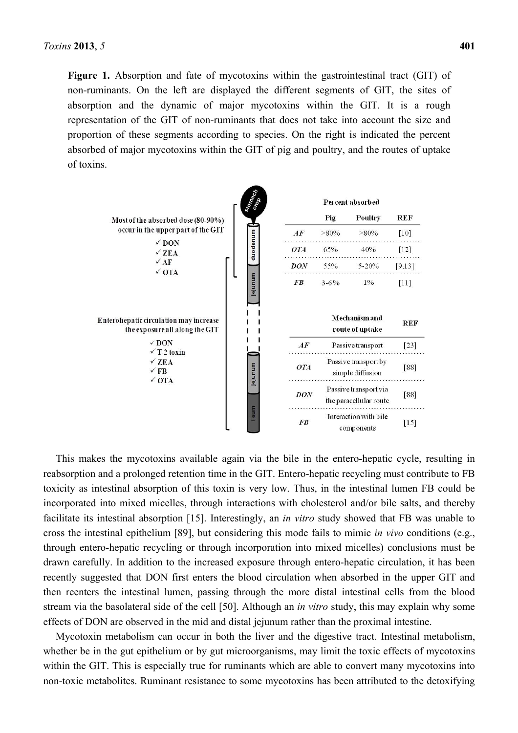**Figure 1.** Absorption and fate of mycotoxins within the gastrointestinal tract (GIT) of non-ruminants. On the left are displayed the different segments of GIT, the sites of absorption and the dynamic of major mycotoxins within the GIT. It is a rough representation of the GIT of non-ruminants that does not take into account the size and proportion of these segments according to species. On the right is indicated the percent absorbed of major mycotoxins within the GIT of pig and poultry, and the routes of uptake of toxins.



This makes the mycotoxins available again via the bile in the entero-hepatic cycle, resulting in reabsorption and a prolonged retention time in the GIT. Entero-hepatic recycling must contribute to FB toxicity as intestinal absorption of this toxin is very low. Thus, in the intestinal lumen FB could be incorporated into mixed micelles, through interactions with cholesterol and/or bile salts, and thereby facilitate its intestinal absorption [15]. Interestingly, an *in vitro* study showed that FB was unable to cross the intestinal epithelium [89], but considering this mode fails to mimic *in vivo* conditions (e.g., through entero-hepatic recycling or through incorporation into mixed micelles) conclusions must be drawn carefully. In addition to the increased exposure through entero-hepatic circulation, it has been recently suggested that DON first enters the blood circulation when absorbed in the upper GIT and then reenters the intestinal lumen, passing through the more distal intestinal cells from the blood stream via the basolateral side of the cell [50]. Although an *in vitro* study, this may explain why some effects of DON are observed in the mid and distal jejunum rather than the proximal intestine.

Mycotoxin metabolism can occur in both the liver and the digestive tract. Intestinal metabolism, whether be in the gut epithelium or by gut microorganisms, may limit the toxic effects of mycotoxins within the GIT. This is especially true for ruminants which are able to convert many mycotoxins into non-toxic metabolites. Ruminant resistance to some mycotoxins has been attributed to the detoxifying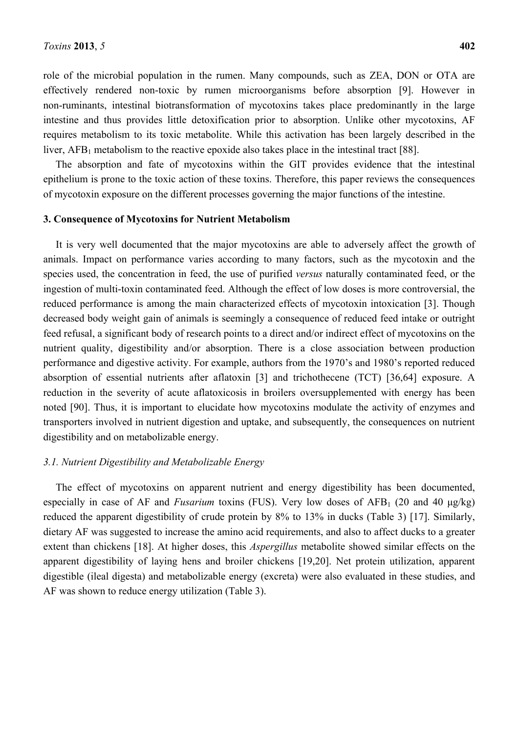role of the microbial population in the rumen. Many compounds, such as ZEA, DON or OTA are effectively rendered non-toxic by rumen microorganisms before absorption [9]. However in non-ruminants, intestinal biotransformation of mycotoxins takes place predominantly in the large intestine and thus provides little detoxification prior to absorption. Unlike other mycotoxins, AF requires metabolism to its toxic metabolite. While this activation has been largely described in the liver,  $AFB_1$  metabolism to the reactive epoxide also takes place in the intestinal tract [88].

The absorption and fate of mycotoxins within the GIT provides evidence that the intestinal epithelium is prone to the toxic action of these toxins. Therefore, this paper reviews the consequences of mycotoxin exposure on the different processes governing the major functions of the intestine.

### **3. Consequence of Mycotoxins for Nutrient Metabolism**

It is very well documented that the major mycotoxins are able to adversely affect the growth of animals. Impact on performance varies according to many factors, such as the mycotoxin and the species used, the concentration in feed, the use of purified *versus* naturally contaminated feed, or the ingestion of multi-toxin contaminated feed. Although the effect of low doses is more controversial, the reduced performance is among the main characterized effects of mycotoxin intoxication [3]. Though decreased body weight gain of animals is seemingly a consequence of reduced feed intake or outright feed refusal, a significant body of research points to a direct and/or indirect effect of mycotoxins on the nutrient quality, digestibility and/or absorption. There is a close association between production performance and digestive activity. For example, authors from the 1970's and 1980's reported reduced absorption of essential nutrients after aflatoxin [3] and trichothecene (TCT) [36,64] exposure. A reduction in the severity of acute aflatoxicosis in broilers oversupplemented with energy has been noted [90]. Thus, it is important to elucidate how mycotoxins modulate the activity of enzymes and transporters involved in nutrient digestion and uptake, and subsequently, the consequences on nutrient digestibility and on metabolizable energy.

# *3.1. Nutrient Digestibility and Metabolizable Energy*

The effect of mycotoxins on apparent nutrient and energy digestibility has been documented, especially in case of AF and *Fusarium* toxins (FUS). Very low doses of AFB<sub>1</sub> (20 and 40  $\mu$ g/kg) reduced the apparent digestibility of crude protein by 8% to 13% in ducks (Table 3) [17]. Similarly, dietary AF was suggested to increase the amino acid requirements, and also to affect ducks to a greater extent than chickens [18]. At higher doses, this *Aspergillus* metabolite showed similar effects on the apparent digestibility of laying hens and broiler chickens [19,20]. Net protein utilization, apparent digestible (ileal digesta) and metabolizable energy (excreta) were also evaluated in these studies, and AF was shown to reduce energy utilization (Table 3).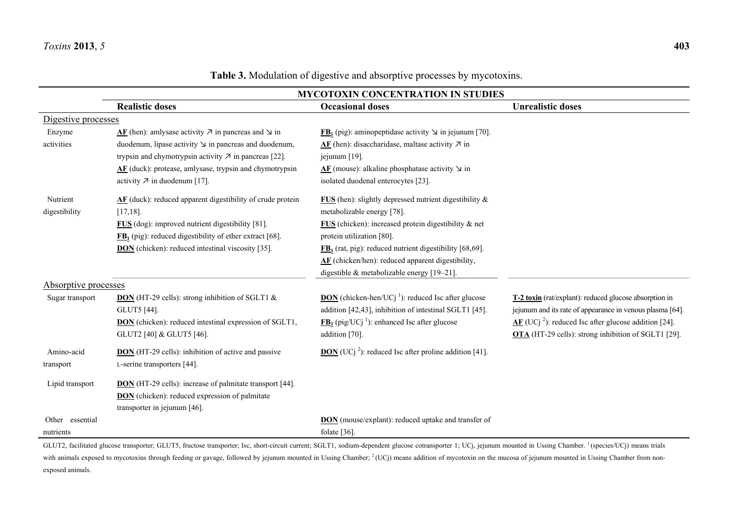|                      | <b>MYCOTOXIN CONCENTRATION IN STUDIES</b>                           |                                                                                      |                                                                          |  |  |
|----------------------|---------------------------------------------------------------------|--------------------------------------------------------------------------------------|--------------------------------------------------------------------------|--|--|
|                      | <b>Realistic doses</b>                                              | <b>Occasional doses</b>                                                              | <b>Unrealistic doses</b>                                                 |  |  |
| Digestive processes  |                                                                     |                                                                                      |                                                                          |  |  |
| Enzyme               | AF (hen): amlysase activity $\nabla$ in pancreas and $\Delta$ in    | $\underline{\mathbf{FB}}_1$ (pig): aminopeptidase activity $\Delta$ in jejunum [70]. |                                                                          |  |  |
| activities           | duodenum, lipase activity ≥ in pancreas and duodenum,               | AF (hen): disaccharidase, maltase activity $\bar{\lambda}$ in                        |                                                                          |  |  |
|                      | trypsin and chymotrypsin activity $\bar{\lambda}$ in pancreas [22]. | jejunum [19].                                                                        |                                                                          |  |  |
|                      | AF (duck): protease, amlysase, trypsin and chymotrypsin             | $\Delta F$ (mouse): alkaline phosphatase activity $\Delta$ in                        |                                                                          |  |  |
|                      | activity $\bar{\lambda}$ in duodenum [17].                          | isolated duodenal enterocytes [23].                                                  |                                                                          |  |  |
| Nutrient             | $\Delta F$ (duck): reduced apparent digestibility of crude protein  | <b>FUS</b> (hen): slightly depressed nutrient digestibility $\&$                     |                                                                          |  |  |
| digestibility        | $[17, 18]$ .                                                        | metabolizable energy [78].                                                           |                                                                          |  |  |
|                      | FUS (dog): improved nutrient digestibility [81].                    | FUS (chicken): increased protein digestibility $\&$ net                              |                                                                          |  |  |
|                      | $FB1$ (pig): reduced digestibility of ether extract [68].           | protein utilization [80].                                                            |                                                                          |  |  |
|                      | <b>DON</b> (chicken): reduced intestinal viscosity [35].            | $\underline{\mathbf{FB}}_1$ (rat, pig): reduced nutrient digestibility [68,69].      |                                                                          |  |  |
|                      |                                                                     | AF (chicken/hen): reduced apparent digestibility,                                    |                                                                          |  |  |
|                      |                                                                     | digestible & metabolizable energy [19-21].                                           |                                                                          |  |  |
| Absorptive processes |                                                                     |                                                                                      |                                                                          |  |  |
| Sugar transport      | DON (HT-29 cells): strong inhibition of SGLT1 &                     | <b>DON</b> (chicken-hen/UCj <sup>1</sup> ): reduced Isc after glucose                | T-2 toxin (rat/explant): reduced glucose absorption in                   |  |  |
|                      | GLUT5 [44].                                                         | addition [42,43], inhibition of intestinal SGLT1 [45].                               | jejunum and its rate of appearance in venous plasma [64].                |  |  |
|                      | <b>DON</b> (chicken): reduced intestinal expression of SGLT1,       | $FB1$ (pig/UCj <sup>1</sup> ): enhanced Isc after glucose                            | $\Delta F$ (UCj <sup>2</sup> ): reduced Isc after glucose addition [24]. |  |  |
|                      | GLUT2 [40] & GLUT5 [46].                                            | addition [70].                                                                       | OTA (HT-29 cells): strong inhibition of SGLT1 [29].                      |  |  |
| Amino-acid           | <b>DON</b> (HT-29 cells): inhibition of active and passive          | <b>DON</b> (UCj <sup>2</sup> ): reduced Isc after proline addition [41].             |                                                                          |  |  |
| transport            | L-serine transporters [44].                                         |                                                                                      |                                                                          |  |  |
| Lipid transport      | <b>DON</b> (HT-29 cells): increase of palmitate transport [44].     |                                                                                      |                                                                          |  |  |
|                      | <b>DON</b> (chicken): reduced expression of palmitate               |                                                                                      |                                                                          |  |  |
|                      | transporter in jejunum [46].                                        |                                                                                      |                                                                          |  |  |
| Other essential      |                                                                     | <b>DON</b> (mouse/explant): reduced uptake and transfer of                           |                                                                          |  |  |
| nutrients            |                                                                     | folate $[36]$ .                                                                      |                                                                          |  |  |

**Table 3.** Modulation of digestive and absorptive processes by mycotoxins.

GLUT2, facilitated glucose transporter; GLUT5, fructose transporter; Isc, short-circuit current; SGLT1, sodium-dependent glucose cotransporter 1; UCj, jejunum mounted in Ussing Chamber. <sup>1</sup> (species/UCj) means trials with animals exposed to mycotoxins through feeding or gavage, followed by jejunum mounted in Ussing Chamber; <sup>2</sup> (UCj) means addition of mycotoxin on the mucosa of jejunum mounted in Ussing Chamber from nonexposed animals.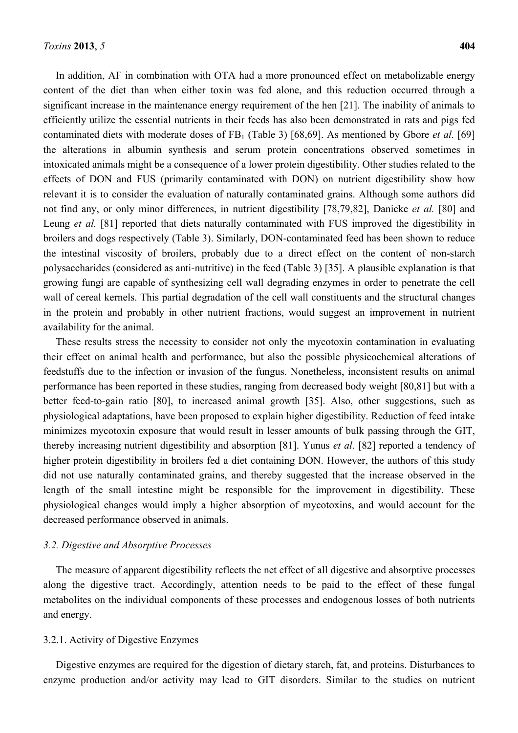In addition, AF in combination with OTA had a more pronounced effect on metabolizable energy content of the diet than when either toxin was fed alone, and this reduction occurred through a significant increase in the maintenance energy requirement of the hen [21]. The inability of animals to efficiently utilize the essential nutrients in their feeds has also been demonstrated in rats and pigs fed contaminated diets with moderate doses of  $FB<sub>1</sub>$  (Table 3) [68,69]. As mentioned by Gbore *et al.* [69] the alterations in albumin synthesis and serum protein concentrations observed sometimes in intoxicated animals might be a consequence of a lower protein digestibility. Other studies related to the effects of DON and FUS (primarily contaminated with DON) on nutrient digestibility show how relevant it is to consider the evaluation of naturally contaminated grains. Although some authors did not find any, or only minor differences, in nutrient digestibility [78,79,82], Danicke *et al.* [80] and Leung *et al.* [81] reported that diets naturally contaminated with FUS improved the digestibility in broilers and dogs respectively (Table 3). Similarly, DON-contaminated feed has been shown to reduce the intestinal viscosity of broilers, probably due to a direct effect on the content of non-starch polysaccharides (considered as anti-nutritive) in the feed (Table 3) [35]. A plausible explanation is that growing fungi are capable of synthesizing cell wall degrading enzymes in order to penetrate the cell wall of cereal kernels. This partial degradation of the cell wall constituents and the structural changes in the protein and probably in other nutrient fractions, would suggest an improvement in nutrient availability for the animal.

These results stress the necessity to consider not only the mycotoxin contamination in evaluating their effect on animal health and performance, but also the possible physicochemical alterations of feedstuffs due to the infection or invasion of the fungus. Nonetheless, inconsistent results on animal performance has been reported in these studies, ranging from decreased body weight [80,81] but with a better feed-to-gain ratio [80], to increased animal growth [35]. Also, other suggestions, such as physiological adaptations, have been proposed to explain higher digestibility. Reduction of feed intake minimizes mycotoxin exposure that would result in lesser amounts of bulk passing through the GIT, thereby increasing nutrient digestibility and absorption [81]. Yunus *et al*. [82] reported a tendency of higher protein digestibility in broilers fed a diet containing DON. However, the authors of this study did not use naturally contaminated grains, and thereby suggested that the increase observed in the length of the small intestine might be responsible for the improvement in digestibility. These physiological changes would imply a higher absorption of mycotoxins, and would account for the decreased performance observed in animals.

#### *3.2. Digestive and Absorptive Processes*

The measure of apparent digestibility reflects the net effect of all digestive and absorptive processes along the digestive tract. Accordingly, attention needs to be paid to the effect of these fungal metabolites on the individual components of these processes and endogenous losses of both nutrients and energy.

### 3.2.1. Activity of Digestive Enzymes

Digestive enzymes are required for the digestion of dietary starch, fat, and proteins. Disturbances to enzyme production and/or activity may lead to GIT disorders. Similar to the studies on nutrient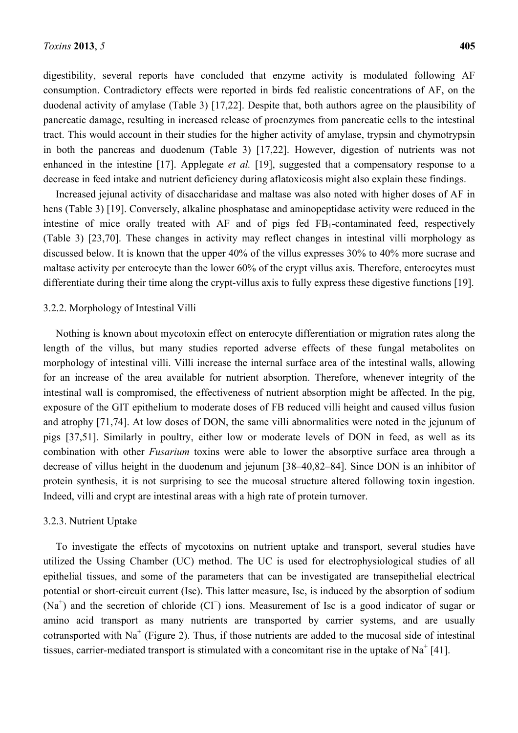digestibility, several reports have concluded that enzyme activity is modulated following AF consumption. Contradictory effects were reported in birds fed realistic concentrations of AF, on the duodenal activity of amylase (Table 3) [17,22]. Despite that, both authors agree on the plausibility of pancreatic damage, resulting in increased release of proenzymes from pancreatic cells to the intestinal tract. This would account in their studies for the higher activity of amylase, trypsin and chymotrypsin in both the pancreas and duodenum (Table 3) [17,22]. However, digestion of nutrients was not enhanced in the intestine [17]. Applegate *et al.* [19], suggested that a compensatory response to a decrease in feed intake and nutrient deficiency during aflatoxicosis might also explain these findings.

Increased jejunal activity of disaccharidase and maltase was also noted with higher doses of AF in hens (Table 3) [19]. Conversely, alkaline phosphatase and aminopeptidase activity were reduced in the intestine of mice orally treated with AF and of pigs fed  $FB<sub>1</sub>$ -contaminated feed, respectively (Table 3) [23,70]. These changes in activity may reflect changes in intestinal villi morphology as discussed below. It is known that the upper 40% of the villus expresses 30% to 40% more sucrase and maltase activity per enterocyte than the lower 60% of the crypt villus axis. Therefore, enterocytes must differentiate during their time along the crypt-villus axis to fully express these digestive functions [19].

### 3.2.2. Morphology of Intestinal Villi

Nothing is known about mycotoxin effect on enterocyte differentiation or migration rates along the length of the villus, but many studies reported adverse effects of these fungal metabolites on morphology of intestinal villi. Villi increase the internal surface area of the intestinal walls, allowing for an increase of the area available for nutrient absorption. Therefore, whenever integrity of the intestinal wall is compromised, the effectiveness of nutrient absorption might be affected. In the pig, exposure of the GIT epithelium to moderate doses of FB reduced villi height and caused villus fusion and atrophy [71,74]. At low doses of DON, the same villi abnormalities were noted in the jejunum of pigs [37,51]. Similarly in poultry, either low or moderate levels of DON in feed, as well as its combination with other *Fusarium* toxins were able to lower the absorptive surface area through a decrease of villus height in the duodenum and jejunum [38–40,82–84]. Since DON is an inhibitor of protein synthesis, it is not surprising to see the mucosal structure altered following toxin ingestion. Indeed, villi and crypt are intestinal areas with a high rate of protein turnover.

# 3.2.3. Nutrient Uptake

To investigate the effects of mycotoxins on nutrient uptake and transport, several studies have utilized the Ussing Chamber (UC) method. The UC is used for electrophysiological studies of all epithelial tissues, and some of the parameters that can be investigated are transepithelial electrical potential or short-circuit current (Isc). This latter measure, Isc, is induced by the absorption of sodium (Na<sup>+</sup>) and the secretion of chloride (Cl<sup>−</sup>) ions. Measurement of Isc is a good indicator of sugar or amino acid transport as many nutrients are transported by carrier systems, and are usually cotransported with  $Na<sup>+</sup>$  (Figure 2). Thus, if those nutrients are added to the mucosal side of intestinal tissues, carrier-mediated transport is stimulated with a concomitant rise in the uptake of Na<sup>+</sup> [41].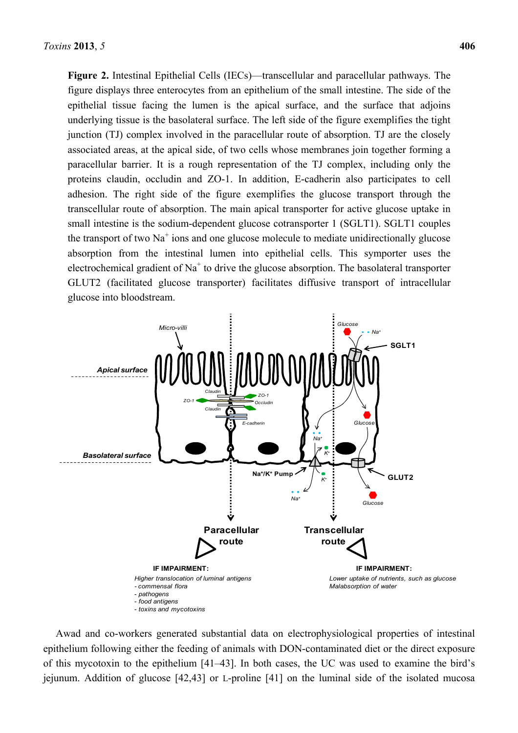**Figure 2.** Intestinal Epithelial Cells (IECs)—transcellular and paracellular pathways. The figure displays three enterocytes from an epithelium of the small intestine. The side of the epithelial tissue facing the lumen is the apical surface, and the surface that adjoins underlying tissue is the basolateral surface. The left side of the figure exemplifies the tight junction (TJ) complex involved in the paracellular route of absorption. TJ are the closely associated areas, at the apical side, of two cells whose membranes join together forming a paracellular barrier. It is a rough representation of the TJ complex, including only the proteins claudin, occludin and ZO-1. In addition, E-cadherin also participates to cell adhesion. The right side of the figure exemplifies the glucose transport through the transcellular route of absorption. The main apical transporter for active glucose uptake in small intestine is the sodium-dependent glucose cotransporter 1 (SGLT1). SGLT1 couples the transport of two  $Na<sup>+</sup>$  ions and one glucose molecule to mediate unidirectionally glucose absorption from the intestinal lumen into epithelial cells. This symporter uses the electrochemical gradient of  $Na<sup>+</sup>$  to drive the glucose absorption. The basolateral transporter GLUT2 (facilitated glucose transporter) facilitates diffusive transport of intracellular glucose into bloodstream.



Awad and co-workers generated substantial data on electrophysiological properties of intestinal epithelium following either the feeding of animals with DON-contaminated diet or the direct exposure of this mycotoxin to the epithelium [41–43]. In both cases, the UC was used to examine the bird's jejunum. Addition of glucose [42,43] or L-proline [41] on the luminal side of the isolated mucosa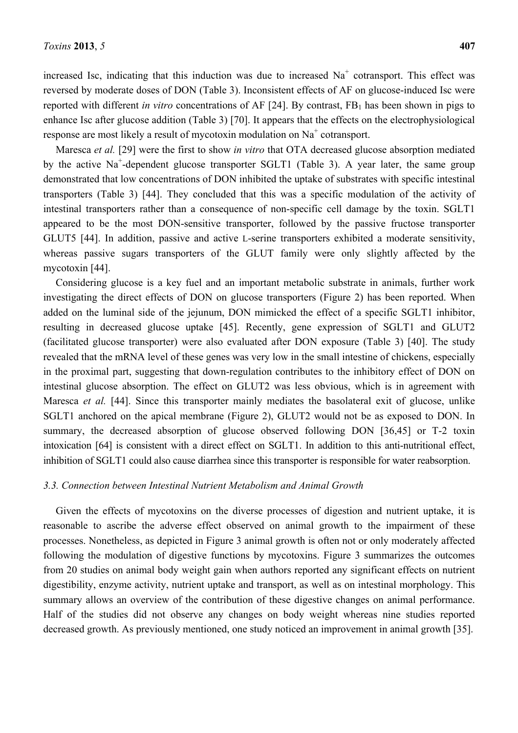increased Isc, indicating that this induction was due to increased  $Na<sup>+</sup>$  cotransport. This effect was reversed by moderate doses of DON (Table 3). Inconsistent effects of AF on glucose-induced Isc were reported with different *in vitro* concentrations of AF [24]. By contrast, FB<sub>1</sub> has been shown in pigs to enhance Isc after glucose addition (Table 3) [70]. It appears that the effects on the electrophysiological response are most likely a result of mycotoxin modulation on Na<sup>+</sup> cotransport.

Maresca *et al.* [29] were the first to show *in vitro* that OTA decreased glucose absorption mediated by the active Na<sup>+</sup>-dependent glucose transporter SGLT1 (Table 3). A year later, the same group demonstrated that low concentrations of DON inhibited the uptake of substrates with specific intestinal transporters (Table 3) [44]. They concluded that this was a specific modulation of the activity of intestinal transporters rather than a consequence of non-specific cell damage by the toxin. SGLT1 appeared to be the most DON-sensitive transporter, followed by the passive fructose transporter GLUT5 [44]. In addition, passive and active L-serine transporters exhibited a moderate sensitivity, whereas passive sugars transporters of the GLUT family were only slightly affected by the mycotoxin [44].

Considering glucose is a key fuel and an important metabolic substrate in animals, further work investigating the direct effects of DON on glucose transporters (Figure 2) has been reported. When added on the luminal side of the jejunum, DON mimicked the effect of a specific SGLT1 inhibitor, resulting in decreased glucose uptake [45]. Recently, gene expression of SGLT1 and GLUT2 (facilitated glucose transporter) were also evaluated after DON exposure (Table 3) [40]. The study revealed that the mRNA level of these genes was very low in the small intestine of chickens, especially in the proximal part, suggesting that down-regulation contributes to the inhibitory effect of DON on intestinal glucose absorption. The effect on GLUT2 was less obvious, which is in agreement with Maresca *et al.* [44]. Since this transporter mainly mediates the basolateral exit of glucose, unlike SGLT1 anchored on the apical membrane (Figure 2), GLUT2 would not be as exposed to DON. In summary, the decreased absorption of glucose observed following DON [36,45] or T-2 toxin intoxication [64] is consistent with a direct effect on SGLT1. In addition to this anti-nutritional effect, inhibition of SGLT1 could also cause diarrhea since this transporter is responsible for water reabsorption.

### *3.3. Connection between Intestinal Nutrient Metabolism and Animal Growth*

Given the effects of mycotoxins on the diverse processes of digestion and nutrient uptake, it is reasonable to ascribe the adverse effect observed on animal growth to the impairment of these processes. Nonetheless, as depicted in Figure 3 animal growth is often not or only moderately affected following the modulation of digestive functions by mycotoxins. Figure 3 summarizes the outcomes from 20 studies on animal body weight gain when authors reported any significant effects on nutrient digestibility, enzyme activity, nutrient uptake and transport, as well as on intestinal morphology. This summary allows an overview of the contribution of these digestive changes on animal performance. Half of the studies did not observe any changes on body weight whereas nine studies reported decreased growth. As previously mentioned, one study noticed an improvement in animal growth [35].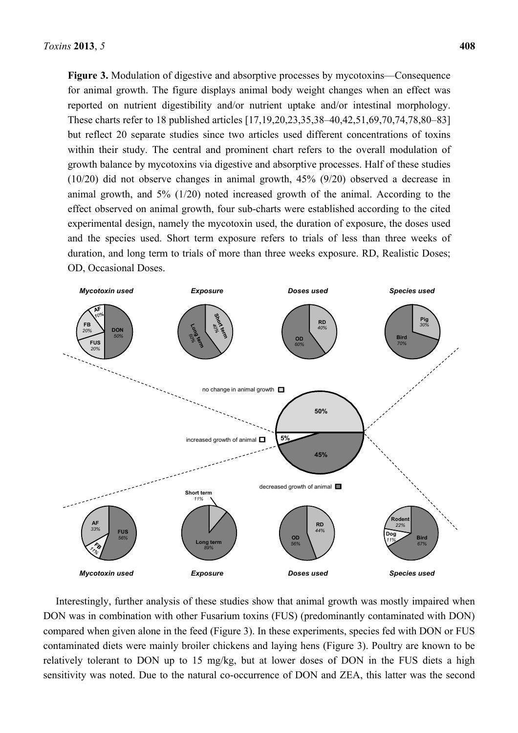**Figure 3.** Modulation of digestive and absorptive processes by mycotoxins—Consequence for animal growth. The figure displays animal body weight changes when an effect was reported on nutrient digestibility and/or nutrient uptake and/or intestinal morphology. These charts refer to 18 published articles [17,19,20,23,35,38–40,42,51,69,70,74,78,80–83] but reflect 20 separate studies since two articles used different concentrations of toxins within their study. The central and prominent chart refers to the overall modulation of growth balance by mycotoxins via digestive and absorptive processes. Half of these studies (10/20) did not observe changes in animal growth, 45% (9/20) observed a decrease in animal growth, and 5% (1/20) noted increased growth of the animal. According to the effect observed on animal growth, four sub-charts were established according to the cited experimental design, namely the mycotoxin used, the duration of exposure, the doses used and the species used. Short term exposure refers to trials of less than three weeks of duration, and long term to trials of more than three weeks exposure. RD, Realistic Doses; OD, Occasional Doses.



Interestingly, further analysis of these studies show that animal growth was mostly impaired when DON was in combination with other Fusarium toxins (FUS) (predominantly contaminated with DON) compared when given alone in the feed (Figure 3). In these experiments, species fed with DON or FUS contaminated diets were mainly broiler chickens and laying hens (Figure 3). Poultry are known to be relatively tolerant to DON up to 15 mg/kg, but at lower doses of DON in the FUS diets a high sensitivity was noted. Due to the natural co-occurrence of DON and ZEA, this latter was the second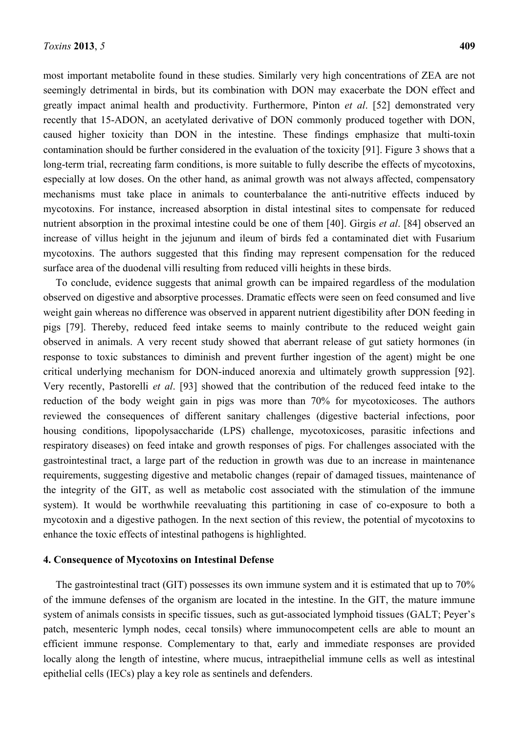most important metabolite found in these studies. Similarly very high concentrations of ZEA are not seemingly detrimental in birds, but its combination with DON may exacerbate the DON effect and greatly impact animal health and productivity. Furthermore, Pinton *et al*. [52] demonstrated very recently that 15-ADON, an acetylated derivative of DON commonly produced together with DON, caused higher toxicity than DON in the intestine. These findings emphasize that multi-toxin contamination should be further considered in the evaluation of the toxicity [91]. Figure 3 shows that a long-term trial, recreating farm conditions, is more suitable to fully describe the effects of mycotoxins, especially at low doses. On the other hand, as animal growth was not always affected, compensatory mechanisms must take place in animals to counterbalance the anti-nutritive effects induced by mycotoxins. For instance, increased absorption in distal intestinal sites to compensate for reduced nutrient absorption in the proximal intestine could be one of them [40]. Girgis *et al*. [84] observed an increase of villus height in the jejunum and ileum of birds fed a contaminated diet with Fusarium mycotoxins. The authors suggested that this finding may represent compensation for the reduced surface area of the duodenal villi resulting from reduced villi heights in these birds.

To conclude, evidence suggests that animal growth can be impaired regardless of the modulation observed on digestive and absorptive processes. Dramatic effects were seen on feed consumed and live weight gain whereas no difference was observed in apparent nutrient digestibility after DON feeding in pigs [79]. Thereby, reduced feed intake seems to mainly contribute to the reduced weight gain observed in animals. A very recent study showed that aberrant release of gut satiety hormones (in response to toxic substances to diminish and prevent further ingestion of the agent) might be one critical underlying mechanism for DON-induced anorexia and ultimately growth suppression [92]. Very recently, Pastorelli *et al*. [93] showed that the contribution of the reduced feed intake to the reduction of the body weight gain in pigs was more than 70% for mycotoxicoses. The authors reviewed the consequences of different sanitary challenges (digestive bacterial infections, poor housing conditions, lipopolysaccharide (LPS) challenge, mycotoxicoses, parasitic infections and respiratory diseases) on feed intake and growth responses of pigs. For challenges associated with the gastrointestinal tract, a large part of the reduction in growth was due to an increase in maintenance requirements, suggesting digestive and metabolic changes (repair of damaged tissues, maintenance of the integrity of the GIT, as well as metabolic cost associated with the stimulation of the immune system). It would be worthwhile reevaluating this partitioning in case of co-exposure to both a mycotoxin and a digestive pathogen. In the next section of this review, the potential of mycotoxins to enhance the toxic effects of intestinal pathogens is highlighted.

### **4. Consequence of Mycotoxins on Intestinal Defense**

The gastrointestinal tract (GIT) possesses its own immune system and it is estimated that up to 70% of the immune defenses of the organism are located in the intestine. In the GIT, the mature immune system of animals consists in specific tissues, such as gut-associated lymphoid tissues (GALT; Peyer's patch, mesenteric lymph nodes, cecal tonsils) where immunocompetent cells are able to mount an efficient immune response. Complementary to that, early and immediate responses are provided locally along the length of intestine, where mucus, intraepithelial immune cells as well as intestinal epithelial cells (IECs) play a key role as sentinels and defenders.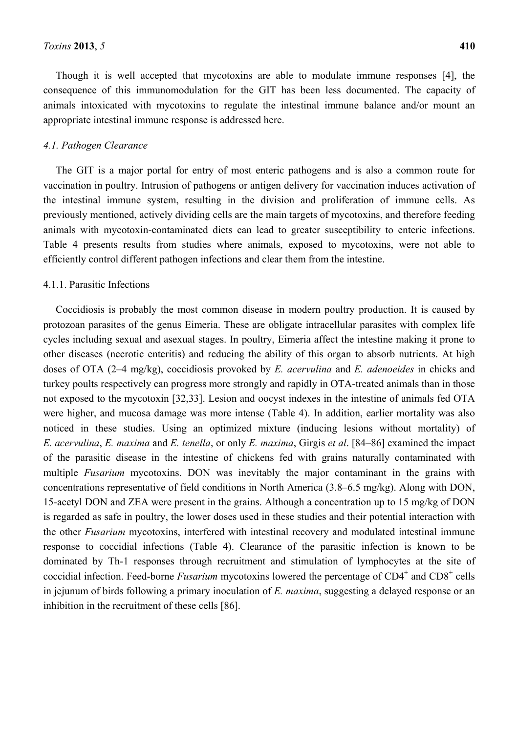Though it is well accepted that mycotoxins are able to modulate immune responses [4], the consequence of this immunomodulation for the GIT has been less documented. The capacity of animals intoxicated with mycotoxins to regulate the intestinal immune balance and/or mount an appropriate intestinal immune response is addressed here.

### *4.1. Pathogen Clearance*

The GIT is a major portal for entry of most enteric pathogens and is also a common route for vaccination in poultry. Intrusion of pathogens or antigen delivery for vaccination induces activation of the intestinal immune system, resulting in the division and proliferation of immune cells. As previously mentioned, actively dividing cells are the main targets of mycotoxins, and therefore feeding animals with mycotoxin-contaminated diets can lead to greater susceptibility to enteric infections. Table 4 presents results from studies where animals, exposed to mycotoxins, were not able to efficiently control different pathogen infections and clear them from the intestine.

### 4.1.1. Parasitic Infections

Coccidiosis is probably the most common disease in modern poultry production. It is caused by protozoan parasites of the genus Eimeria. These are obligate intracellular parasites with complex life cycles including sexual and asexual stages. In poultry, Eimeria affect the intestine making it prone to other diseases (necrotic enteritis) and reducing the ability of this organ to absorb nutrients. At high doses of OTA (2–4 mg/kg), coccidiosis provoked by *E. acervulina* and *E. adenoeides* in chicks and turkey poults respectively can progress more strongly and rapidly in OTA-treated animals than in those not exposed to the mycotoxin [32,33]. Lesion and oocyst indexes in the intestine of animals fed OTA were higher, and mucosa damage was more intense (Table 4). In addition, earlier mortality was also noticed in these studies. Using an optimized mixture (inducing lesions without mortality) of *E. acervulina*, *E. maxima* and *E. tenella*, or only *E. maxima*, Girgis *et al*. [84–86] examined the impact of the parasitic disease in the intestine of chickens fed with grains naturally contaminated with multiple *Fusarium* mycotoxins. DON was inevitably the major contaminant in the grains with concentrations representative of field conditions in North America (3.8–6.5 mg/kg). Along with DON, 15-acetyl DON and ZEA were present in the grains. Although a concentration up to 15 mg/kg of DON is regarded as safe in poultry, the lower doses used in these studies and their potential interaction with the other *Fusarium* mycotoxins, interfered with intestinal recovery and modulated intestinal immune response to coccidial infections (Table 4). Clearance of the parasitic infection is known to be dominated by Th-1 responses through recruitment and stimulation of lymphocytes at the site of coccidial infection. Feed-borne *Fusarium* mycotoxins lowered the percentage of CD4<sup>+</sup> and CD8<sup>+</sup> cells in jejunum of birds following a primary inoculation of *E. maxima*, suggesting a delayed response or an inhibition in the recruitment of these cells [86].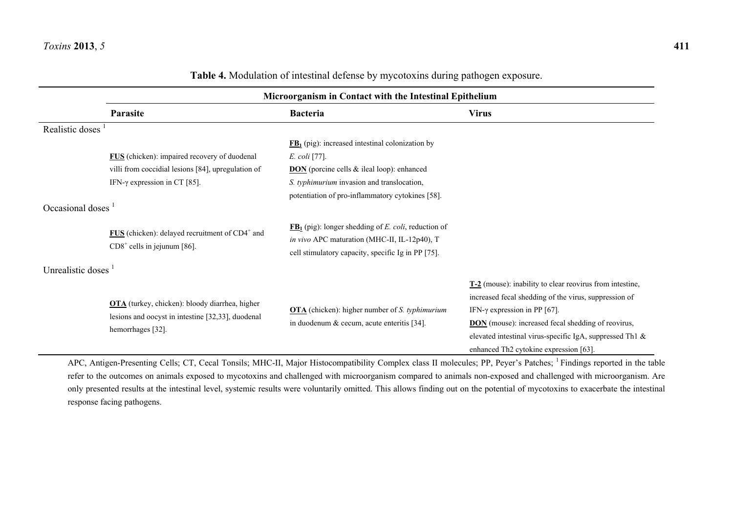### *Toxins* **2013**, *5* **411**

|                               | Microorganism in Contact with the Intestinal Epithelium  |                                                                                     |                                                            |  |
|-------------------------------|----------------------------------------------------------|-------------------------------------------------------------------------------------|------------------------------------------------------------|--|
|                               | <b>Parasite</b>                                          | <b>Bacteria</b>                                                                     | <b>Virus</b>                                               |  |
| Realistic doses               |                                                          |                                                                                     |                                                            |  |
|                               |                                                          | $\mathbf{FB}_1$ (pig): increased intestinal colonization by                         |                                                            |  |
|                               | <b>FUS</b> (chicken): impaired recovery of duodenal      | E. coli [77].                                                                       |                                                            |  |
|                               | villi from coccidial lesions [84], upregulation of       | <b>DON</b> (porcine cells $\&$ ileal loop): enhanced                                |                                                            |  |
|                               | IFN- $\gamma$ expression in CT [85].                     | S. typhimurium invasion and translocation,                                          |                                                            |  |
|                               |                                                          | potentiation of pro-inflammatory cytokines [58].                                    |                                                            |  |
| Occasional doses <sup>1</sup> |                                                          |                                                                                     |                                                            |  |
|                               | <b>FUS</b> (chicken): delayed recruitment of $CD4^+$ and | $\underline{\mathbf{FB}}_1$ (pig): longer shedding of <i>E. coli</i> , reduction of |                                                            |  |
|                               | $CD8+$ cells in jejunum [86].                            | in vivo APC maturation (MHC-II, IL-12p40), T                                        |                                                            |  |
|                               |                                                          | cell stimulatory capacity, specific Ig in PP [75].                                  |                                                            |  |
| Unrealistic doses             |                                                          |                                                                                     |                                                            |  |
|                               |                                                          |                                                                                     | $T-2$ (mouse): inability to clear reovirus from intestine, |  |
|                               | <b>OTA</b> (turkey, chicken): bloody diarrhea, higher    |                                                                                     | increased fecal shedding of the virus, suppression of      |  |
|                               |                                                          | <b>OTA</b> (chicken): higher number of <i>S. typhimurium</i>                        | IFN- $\gamma$ expression in PP [67].                       |  |
|                               | lesions and oocyst in intestine [32,33], duodenal        | in duodenum $\&$ cecum, acute enteritis [34].                                       | <b>DON</b> (mouse): increased fecal shedding of reovirus,  |  |
|                               | hemorrhages [32].                                        |                                                                                     | elevated intestinal virus-specific IgA, suppressed Th1 &   |  |
|                               |                                                          |                                                                                     | enhanced Th2 cytokine expression [63].                     |  |

# **Table 4.** Modulation of intestinal defense by mycotoxins during pathogen exposure.

APC, Antigen-Presenting Cells; CT, Cecal Tonsils; MHC-II, Major Histocompatibility Complex class II molecules; PP, Peyer's Patches; <sup>1</sup> Findings reported in the table refer to the outcomes on animals exposed to mycotoxins and challenged with microorganism compared to animals non-exposed and challenged with microorganism. Are only presented results at the intestinal level, systemic results were voluntarily omitted. This allows finding out on the potential of mycotoxins to exacerbate the intestinal response facing pathogens.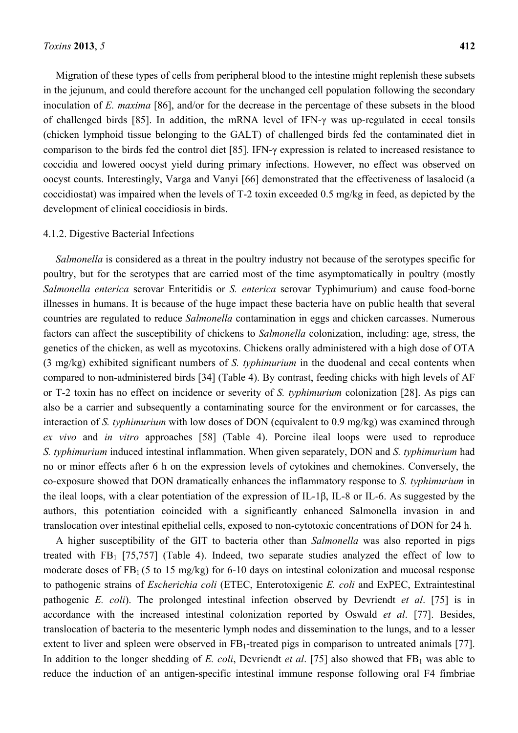Migration of these types of cells from peripheral blood to the intestine might replenish these subsets in the jejunum, and could therefore account for the unchanged cell population following the secondary inoculation of *E. maxima* [86], and/or for the decrease in the percentage of these subsets in the blood of challenged birds [85]. In addition, the mRNA level of IFN-γ was up-regulated in cecal tonsils (chicken lymphoid tissue belonging to the GALT) of challenged birds fed the contaminated diet in comparison to the birds fed the control diet [85]. IFN-γ expression is related to increased resistance to coccidia and lowered oocyst yield during primary infections. However, no effect was observed on oocyst counts. Interestingly, Varga and Vanyi [66] demonstrated that the effectiveness of lasalocid (a coccidiostat) was impaired when the levels of T-2 toxin exceeded 0.5 mg/kg in feed, as depicted by the development of clinical coccidiosis in birds.

### 4.1.2. Digestive Bacterial Infections

*Salmonella* is considered as a threat in the poultry industry not because of the serotypes specific for poultry, but for the serotypes that are carried most of the time asymptomatically in poultry (mostly *Salmonella enterica* serovar Enteritidis or *S. enterica* serovar Typhimurium) and cause food-borne illnesses in humans. It is because of the huge impact these bacteria have on public health that several countries are regulated to reduce *Salmonella* contamination in eggs and chicken carcasses. Numerous factors can affect the susceptibility of chickens to *Salmonella* colonization, including: age, stress, the genetics of the chicken, as well as mycotoxins. Chickens orally administered with a high dose of OTA (3 mg/kg) exhibited significant numbers of *S. typhimurium* in the duodenal and cecal contents when compared to non-administered birds [34] (Table 4). By contrast, feeding chicks with high levels of AF or T-2 toxin has no effect on incidence or severity of *S. typhimurium* colonization [28]. As pigs can also be a carrier and subsequently a contaminating source for the environment or for carcasses, the interaction of *S. typhimurium* with low doses of DON (equivalent to 0.9 mg/kg) was examined through *ex vivo* and *in vitro* approaches [58] (Table 4). Porcine ileal loops were used to reproduce *S. typhimurium* induced intestinal inflammation. When given separately, DON and *S. typhimurium* had no or minor effects after 6 h on the expression levels of cytokines and chemokines. Conversely, the co-exposure showed that DON dramatically enhances the inflammatory response to *S. typhimurium* in the ileal loops, with a clear potentiation of the expression of IL-1β, IL-8 or IL-6. As suggested by the authors, this potentiation coincided with a significantly enhanced Salmonella invasion in and translocation over intestinal epithelial cells, exposed to non-cytotoxic concentrations of DON for 24 h.

A higher susceptibility of the GIT to bacteria other than *Salmonella* was also reported in pigs treated with  $FB_1$  [75,757] (Table 4). Indeed, two separate studies analyzed the effect of low to moderate doses of  $FB_1 (5 \text{ to } 15 \text{ mg/kg})$  for 6-10 days on intestinal colonization and mucosal response to pathogenic strains of *Escherichia coli* (ETEC, Enterotoxigenic *E. coli* and ExPEC, Extraintestinal pathogenic *E. coli*). The prolonged intestinal infection observed by Devriendt *et al*. [75] is in accordance with the increased intestinal colonization reported by Oswald *et al*. [77]. Besides, translocation of bacteria to the mesenteric lymph nodes and dissemination to the lungs, and to a lesser extent to liver and spleen were observed in FB<sub>1</sub>-treated pigs in comparison to untreated animals [77]. In addition to the longer shedding of *E. coli*, Devriendt *et al.* [75] also showed that FB<sub>1</sub> was able to reduce the induction of an antigen-specific intestinal immune response following oral F4 fimbriae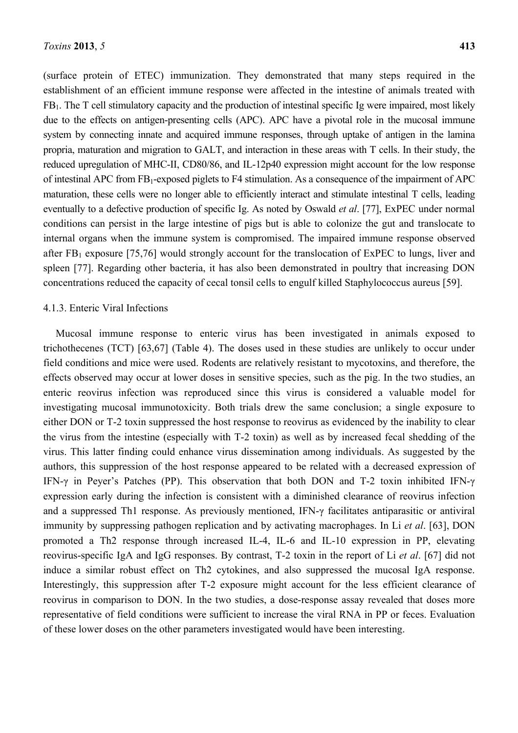(surface protein of ETEC) immunization. They demonstrated that many steps required in the establishment of an efficient immune response were affected in the intestine of animals treated with FB1. The T cell stimulatory capacity and the production of intestinal specific Ig were impaired, most likely due to the effects on antigen-presenting cells (APC). APC have a pivotal role in the mucosal immune system by connecting innate and acquired immune responses, through uptake of antigen in the lamina propria, maturation and migration to GALT, and interaction in these areas with T cells. In their study, the reduced upregulation of MHC-II, CD80/86, and IL-12p40 expression might account for the low response of intestinal APC from FB1-exposed piglets to F4 stimulation. As a consequence of the impairment of APC maturation, these cells were no longer able to efficiently interact and stimulate intestinal T cells, leading eventually to a defective production of specific Ig. As noted by Oswald *et al*. [77], ExPEC under normal conditions can persist in the large intestine of pigs but is able to colonize the gut and translocate to internal organs when the immune system is compromised. The impaired immune response observed after  $FB_1$  exposure [75,76] would strongly account for the translocation of ExPEC to lungs, liver and spleen [77]. Regarding other bacteria, it has also been demonstrated in poultry that increasing DON concentrations reduced the capacity of cecal tonsil cells to engulf killed Staphylococcus aureus [59].

### 4.1.3. Enteric Viral Infections

Mucosal immune response to enteric virus has been investigated in animals exposed to trichothecenes (TCT) [63,67] (Table 4). The doses used in these studies are unlikely to occur under field conditions and mice were used. Rodents are relatively resistant to mycotoxins, and therefore, the effects observed may occur at lower doses in sensitive species, such as the pig. In the two studies, an enteric reovirus infection was reproduced since this virus is considered a valuable model for investigating mucosal immunotoxicity. Both trials drew the same conclusion; a single exposure to either DON or T-2 toxin suppressed the host response to reovirus as evidenced by the inability to clear the virus from the intestine (especially with T-2 toxin) as well as by increased fecal shedding of the virus. This latter finding could enhance virus dissemination among individuals. As suggested by the authors, this suppression of the host response appeared to be related with a decreased expression of IFN-γ in Peyer's Patches (PP). This observation that both DON and T-2 toxin inhibited IFN-γ expression early during the infection is consistent with a diminished clearance of reovirus infection and a suppressed Th1 response. As previously mentioned, IFN-γ facilitates antiparasitic or antiviral immunity by suppressing pathogen replication and by activating macrophages. In Li *et al*. [63], DON promoted a Th2 response through increased IL-4, IL-6 and IL-10 expression in PP, elevating reovirus-specific IgA and IgG responses. By contrast, T-2 toxin in the report of Li *et al*. [67] did not induce a similar robust effect on Th2 cytokines, and also suppressed the mucosal IgA response. Interestingly, this suppression after T-2 exposure might account for the less efficient clearance of reovirus in comparison to DON. In the two studies, a dose-response assay revealed that doses more representative of field conditions were sufficient to increase the viral RNA in PP or feces. Evaluation of these lower doses on the other parameters investigated would have been interesting.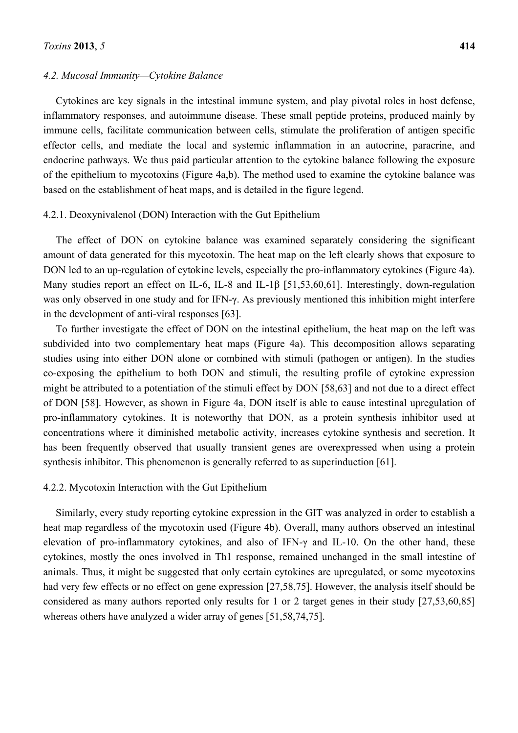### *4.2. Mucosal Immunity—Cytokine Balance*

Cytokines are key signals in the intestinal immune system, and play pivotal roles in host defense, inflammatory responses, and autoimmune disease. These small peptide proteins, produced mainly by immune cells, facilitate communication between cells, stimulate the proliferation of antigen specific effector cells, and mediate the local and systemic inflammation in an autocrine, paracrine, and endocrine pathways. We thus paid particular attention to the cytokine balance following the exposure of the epithelium to mycotoxins (Figure 4a,b). The method used to examine the cytokine balance was based on the establishment of heat maps, and is detailed in the figure legend.

# 4.2.1. Deoxynivalenol (DON) Interaction with the Gut Epithelium

The effect of DON on cytokine balance was examined separately considering the significant amount of data generated for this mycotoxin. The heat map on the left clearly shows that exposure to DON led to an up-regulation of cytokine levels, especially the pro-inflammatory cytokines (Figure 4a). Many studies report an effect on IL-6, IL-8 and IL-1β [51,53,60,61]. Interestingly, down-regulation was only observed in one study and for IFN-γ. As previously mentioned this inhibition might interfere in the development of anti-viral responses [63].

To further investigate the effect of DON on the intestinal epithelium, the heat map on the left was subdivided into two complementary heat maps (Figure 4a). This decomposition allows separating studies using into either DON alone or combined with stimuli (pathogen or antigen). In the studies co-exposing the epithelium to both DON and stimuli, the resulting profile of cytokine expression might be attributed to a potentiation of the stimuli effect by DON [58,63] and not due to a direct effect of DON [58]. However, as shown in Figure 4a, DON itself is able to cause intestinal upregulation of pro-inflammatory cytokines. It is noteworthy that DON, as a protein synthesis inhibitor used at concentrations where it diminished metabolic activity, increases cytokine synthesis and secretion. It has been frequently observed that usually transient genes are overexpressed when using a protein synthesis inhibitor. This phenomenon is generally referred to as superinduction [61].

### 4.2.2. Mycotoxin Interaction with the Gut Epithelium

Similarly, every study reporting cytokine expression in the GIT was analyzed in order to establish a heat map regardless of the mycotoxin used (Figure 4b). Overall, many authors observed an intestinal elevation of pro-inflammatory cytokines, and also of IFN-γ and IL-10. On the other hand, these cytokines, mostly the ones involved in Th1 response, remained unchanged in the small intestine of animals. Thus, it might be suggested that only certain cytokines are upregulated, or some mycotoxins had very few effects or no effect on gene expression [27,58,75]. However, the analysis itself should be considered as many authors reported only results for 1 or 2 target genes in their study [27,53,60,85] whereas others have analyzed a wider array of genes [51,58,74,75].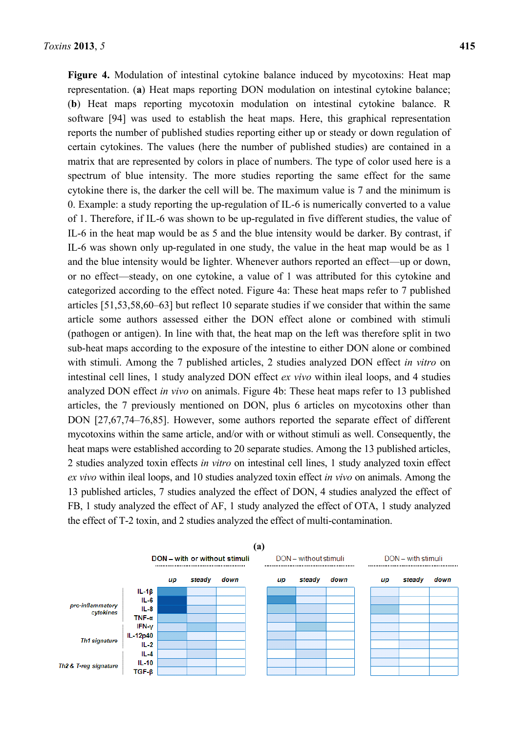**Figure 4.** Modulation of intestinal cytokine balance induced by mycotoxins: Heat map representation. (**a**) Heat maps reporting DON modulation on intestinal cytokine balance; (**b**) Heat maps reporting mycotoxin modulation on intestinal cytokine balance. R software [94] was used to establish the heat maps. Here, this graphical representation reports the number of published studies reporting either up or steady or down regulation of certain cytokines. The values (here the number of published studies) are contained in a matrix that are represented by colors in place of numbers. The type of color used here is a spectrum of blue intensity. The more studies reporting the same effect for the same cytokine there is, the darker the cell will be. The maximum value is 7 and the minimum is 0. Example: a study reporting the up-regulation of IL-6 is numerically converted to a value of 1. Therefore, if IL-6 was shown to be up-regulated in five different studies, the value of IL-6 in the heat map would be as 5 and the blue intensity would be darker. By contrast, if IL-6 was shown only up-regulated in one study, the value in the heat map would be as 1 and the blue intensity would be lighter. Whenever authors reported an effect—up or down, or no effect—steady, on one cytokine, a value of 1 was attributed for this cytokine and categorized according to the effect noted. Figure 4a: These heat maps refer to 7 published articles [51,53,58,60–63] but reflect 10 separate studies if we consider that within the same article some authors assessed either the DON effect alone or combined with stimuli (pathogen or antigen). In line with that, the heat map on the left was therefore split in two sub-heat maps according to the exposure of the intestine to either DON alone or combined with stimuli. Among the 7 published articles, 2 studies analyzed DON effect *in vitro* on intestinal cell lines, 1 study analyzed DON effect *ex vivo* within ileal loops, and 4 studies analyzed DON effect *in vivo* on animals. Figure 4b: These heat maps refer to 13 published articles, the 7 previously mentioned on DON, plus 6 articles on mycotoxins other than DON [27,67,74–76,85]. However, some authors reported the separate effect of different mycotoxins within the same article, and/or with or without stimuli as well. Consequently, the heat maps were established according to 20 separate studies. Among the 13 published articles, 2 studies analyzed toxin effects *in vitro* on intestinal cell lines, 1 study analyzed toxin effect *ex vivo* within ileal loops, and 10 studies analyzed toxin effect *in vivo* on animals. Among the 13 published articles, 7 studies analyzed the effect of DON, 4 studies analyzed the effect of FB, 1 study analyzed the effect of AF, 1 study analyzed the effect of OTA, 1 study analyzed the effect of T-2 toxin, and 2 studies analyzed the effect of multi-contamination.

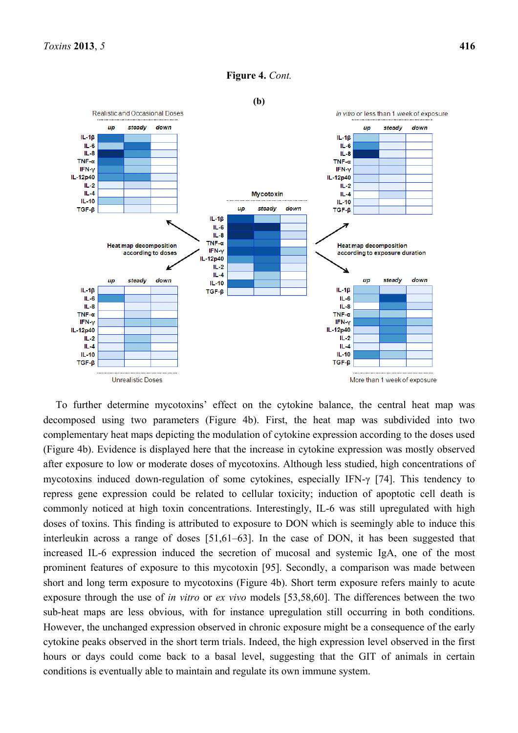

**Figure 4.** *Cont.*

To further determine mycotoxins' effect on the cytokine balance, the central heat map was decomposed using two parameters (Figure 4b). First, the heat map was subdivided into two complementary heat maps depicting the modulation of cytokine expression according to the doses used (Figure 4b). Evidence is displayed here that the increase in cytokine expression was mostly observed after exposure to low or moderate doses of mycotoxins. Although less studied, high concentrations of mycotoxins induced down-regulation of some cytokines, especially IFN-γ [74]. This tendency to repress gene expression could be related to cellular toxicity; induction of apoptotic cell death is commonly noticed at high toxin concentrations. Interestingly, IL-6 was still upregulated with high doses of toxins. This finding is attributed to exposure to DON which is seemingly able to induce this interleukin across a range of doses [51,61–63]. In the case of DON, it has been suggested that increased IL-6 expression induced the secretion of mucosal and systemic IgA, one of the most prominent features of exposure to this mycotoxin [95]. Secondly, a comparison was made between short and long term exposure to mycotoxins (Figure 4b). Short term exposure refers mainly to acute exposure through the use of *in vitro* or *ex vivo* models [53,58,60]. The differences between the two sub-heat maps are less obvious, with for instance upregulation still occurring in both conditions. However, the unchanged expression observed in chronic exposure might be a consequence of the early cytokine peaks observed in the short term trials. Indeed, the high expression level observed in the first hours or days could come back to a basal level, suggesting that the GIT of animals in certain conditions is eventually able to maintain and regulate its own immune system.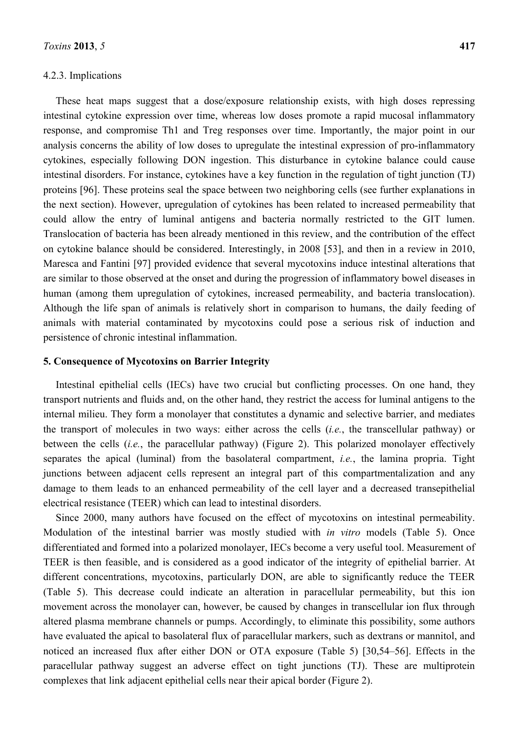### 4.2.3. Implications

These heat maps suggest that a dose/exposure relationship exists, with high doses repressing intestinal cytokine expression over time, whereas low doses promote a rapid mucosal inflammatory response, and compromise Th1 and Treg responses over time. Importantly, the major point in our analysis concerns the ability of low doses to upregulate the intestinal expression of pro-inflammatory cytokines, especially following DON ingestion. This disturbance in cytokine balance could cause intestinal disorders. For instance, cytokines have a key function in the regulation of tight junction (TJ) proteins [96]. These proteins seal the space between two neighboring cells (see further explanations in the next section). However, upregulation of cytokines has been related to increased permeability that could allow the entry of luminal antigens and bacteria normally restricted to the GIT lumen. Translocation of bacteria has been already mentioned in this review, and the contribution of the effect on cytokine balance should be considered. Interestingly, in 2008 [53], and then in a review in 2010, Maresca and Fantini [97] provided evidence that several mycotoxins induce intestinal alterations that are similar to those observed at the onset and during the progression of inflammatory bowel diseases in human (among them upregulation of cytokines, increased permeability, and bacteria translocation). Although the life span of animals is relatively short in comparison to humans, the daily feeding of animals with material contaminated by mycotoxins could pose a serious risk of induction and persistence of chronic intestinal inflammation.

### **5. Consequence of Mycotoxins on Barrier Integrity**

Intestinal epithelial cells (IECs) have two crucial but conflicting processes. On one hand, they transport nutrients and fluids and, on the other hand, they restrict the access for luminal antigens to the internal milieu. They form a monolayer that constitutes a dynamic and selective barrier, and mediates the transport of molecules in two ways: either across the cells (*i.e.*, the transcellular pathway) or between the cells (*i.e.*, the paracellular pathway) (Figure 2). This polarized monolayer effectively separates the apical (luminal) from the basolateral compartment, *i.e.*, the lamina propria. Tight junctions between adjacent cells represent an integral part of this compartmentalization and any damage to them leads to an enhanced permeability of the cell layer and a decreased transepithelial electrical resistance (TEER) which can lead to intestinal disorders.

Since 2000, many authors have focused on the effect of mycotoxins on intestinal permeability. Modulation of the intestinal barrier was mostly studied with *in vitro* models (Table 5). Once differentiated and formed into a polarized monolayer, IECs become a very useful tool. Measurement of TEER is then feasible, and is considered as a good indicator of the integrity of epithelial barrier. At different concentrations, mycotoxins, particularly DON, are able to significantly reduce the TEER (Table 5). This decrease could indicate an alteration in paracellular permeability, but this ion movement across the monolayer can, however, be caused by changes in transcellular ion flux through altered plasma membrane channels or pumps. Accordingly, to eliminate this possibility, some authors have evaluated the apical to basolateral flux of paracellular markers, such as dextrans or mannitol, and noticed an increased flux after either DON or OTA exposure (Table 5) [30,54–56]. Effects in the paracellular pathway suggest an adverse effect on tight junctions (TJ). These are multiprotein complexes that link adjacent epithelial cells near their apical border (Figure 2).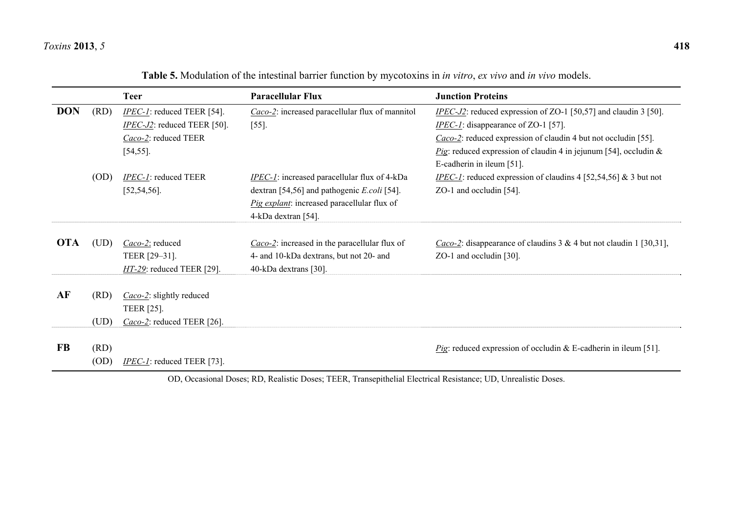## *Toxins* **2013**, *5* **418**

**Table 5.** Modulation of the intestinal barrier function by mycotoxins in *in vitro*, *ex vivo* and *in vivo* models.

|            |      | <b>Teer</b>                         | <b>Paracellular Flux</b>                                    | <b>Junction Proteins</b>                                                     |
|------------|------|-------------------------------------|-------------------------------------------------------------|------------------------------------------------------------------------------|
| <b>DON</b> | (RD) | <b>IPEC-1</b> : reduced TEER [54].  | $\frac{Caco-2}{}$ : increased paracellular flux of mannitol | <i>IPEC-J2</i> : reduced expression of ZO-1 [50,57] and claudin 3 [50].      |
|            |      | <b>IPEC-J2</b> : reduced TEER [50]. | $\left[55\right]$ .                                         | <i>IPEC-1</i> : disappearance of ZO-1 [57].                                  |
|            |      | Caco-2: reduced TEER                |                                                             | $\frac{Caco-2}{2}$ : reduced expression of claudin 4 but not occludin [55].  |
|            |      | $[54, 55]$ .                        |                                                             | <i>Pig</i> : reduced expression of claudin 4 in jejunum [54], occludin &     |
|            |      |                                     |                                                             | E-cadherin in ileum [51].                                                    |
|            | (OD) | IPEC-1: reduced TEER                | <b>IPEC-1</b> : increased paracellular flux of 4-kDa        | <b>IPEC-1</b> : reduced expression of claudins 4 [52,54,56] $\&$ 3 but not   |
|            |      | $[52, 54, 56]$ .                    | dextran [54,56] and pathogenic $E.$ <i>coli</i> [54].       | ZO-1 and occludin $[54]$ .                                                   |
|            |      |                                     | Pig explant: increased paracellular flux of                 |                                                                              |
|            |      |                                     | 4-kDa dextran [54].                                         |                                                                              |
|            |      |                                     |                                                             |                                                                              |
| <b>OTA</b> | (UD) | Caco-2: reduced                     | $\frac{Caco-2}{}$ : increased in the paracellular flux of   | <i>Caco-2</i> : disappearance of claudins $3 & 4$ but not claudin 1 [30,31], |
|            |      | TEER [29-31].                       | 4- and 10-kDa dextrans, but not 20- and                     | ZO-1 and occludin $[30]$ .                                                   |
|            |      | $HT-29$ : reduced TEER [29].        | 40-kDa dextrans [30].                                       |                                                                              |
| AF         | (RD) | $Caco-2$ : slightly reduced         |                                                             |                                                                              |
|            |      | TEER [25].                          |                                                             |                                                                              |
|            | (UD) | Caco-2: reduced TEER [26].          |                                                             |                                                                              |
|            |      |                                     |                                                             |                                                                              |
| <b>FB</b>  | (RD) |                                     |                                                             | <i>Pig</i> : reduced expression of occludin & E-cadherin in ileum [51].      |
|            | (OD) | <b>IPEC-1</b> : reduced TEER [73].  |                                                             |                                                                              |

OD, Occasional Doses; RD, Realistic Doses; TEER, Transepithelial Electrical Resistance; UD, Unrealistic Doses.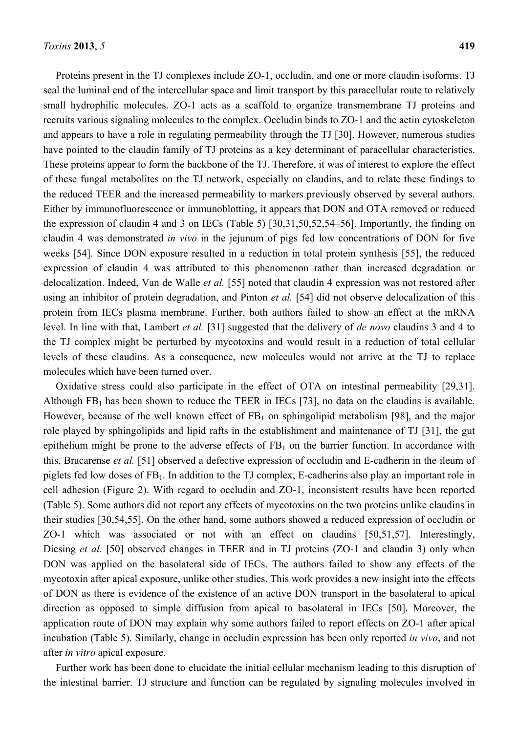Proteins present in the TJ complexes include ZO-1, occludin, and one or more claudin isoforms. TJ seal the luminal end of the intercellular space and limit transport by this paracellular route to relatively small hydrophilic molecules. ZO-1 acts as a scaffold to organize transmembrane TJ proteins and recruits various signaling molecules to the complex. Occludin binds to ZO-1 and the actin cytoskeleton and appears to have a role in regulating permeability through the TJ [30]. However, numerous studies have pointed to the claudin family of TJ proteins as a key determinant of paracellular characteristics. These proteins appear to form the backbone of the TJ. Therefore, it was of interest to explore the effect of these fungal metabolites on the TJ network, especially on claudins, and to relate these findings to the reduced TEER and the increased permeability to markers previously observed by several authors. Either by immunofluorescence or immunoblotting, it appears that DON and OTA removed or reduced the expression of claudin 4 and 3 on IECs (Table 5) [30,31,50,52,54–56]. Importantly, the finding on claudin 4 was demonstrated *in vivo* in the jejunum of pigs fed low concentrations of DON for five weeks [54]. Since DON exposure resulted in a reduction in total protein synthesis [55], the reduced expression of claudin 4 was attributed to this phenomenon rather than increased degradation or delocalization. Indeed, Van de Walle *et al.* [55] noted that claudin 4 expression was not restored after using an inhibitor of protein degradation, and Pinton *et al.* [54] did not observe delocalization of this protein from IECs plasma membrane. Further, both authors failed to show an effect at the mRNA level. In line with that, Lambert *et al.* [31] suggested that the delivery of *de novo* claudins 3 and 4 to the TJ complex might be perturbed by mycotoxins and would result in a reduction of total cellular levels of these claudins. As a consequence, new molecules would not arrive at the TJ to replace molecules which have been turned over.

Oxidative stress could also participate in the effect of OTA on intestinal permeability [29,31]. Although  $FB<sub>1</sub>$  has been shown to reduce the TEER in IECs [73], no data on the claudins is available. However, because of the well known effect of  $FB<sub>1</sub>$  on sphingolipid metabolism [98], and the major role played by sphingolipids and lipid rafts in the establishment and maintenance of TJ [31], the gut epithelium might be prone to the adverse effects of  $FB<sub>1</sub>$  on the barrier function. In accordance with this, Bracarense *et al.* [51] observed a defective expression of occludin and E-cadherin in the ileum of piglets fed low doses of FB1. In addition to the TJ complex, E-cadherins also play an important role in cell adhesion (Figure 2). With regard to occludin and ZO-1, inconsistent results have been reported (Table 5). Some authors did not report any effects of mycotoxins on the two proteins unlike claudins in their studies [30,54,55]. On the other hand, some authors showed a reduced expression of occludin or ZO-1 which was associated or not with an effect on claudins [50,51,57]. Interestingly, Diesing *et al.* [50] observed changes in TEER and in TJ proteins (ZO-1 and claudin 3) only when DON was applied on the basolateral side of IECs. The authors failed to show any effects of the mycotoxin after apical exposure, unlike other studies. This work provides a new insight into the effects of DON as there is evidence of the existence of an active DON transport in the basolateral to apical direction as opposed to simple diffusion from apical to basolateral in IECs [50]. Moreover, the application route of DON may explain why some authors failed to report effects on ZO-1 after apical incubation (Table 5). Similarly, change in occludin expression has been only reported *in vivo*, and not after *in vitro* apical exposure.

Further work has been done to elucidate the initial cellular mechanism leading to this disruption of the intestinal barrier. TJ structure and function can be regulated by signaling molecules involved in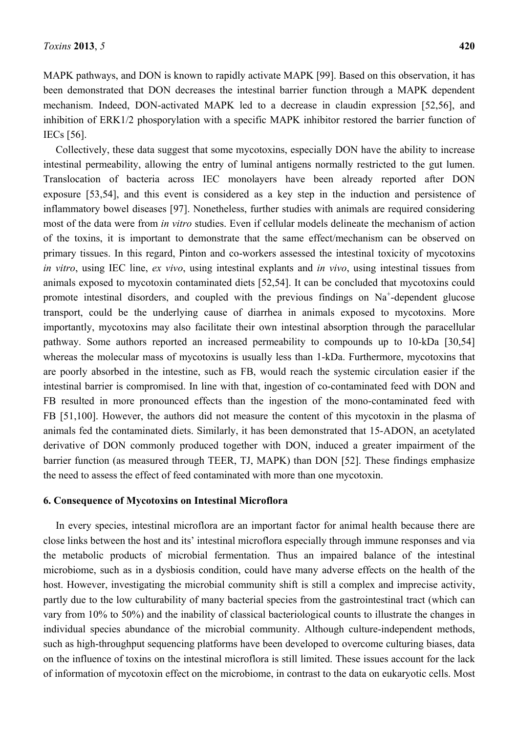MAPK pathways, and DON is known to rapidly activate MAPK [99]. Based on this observation, it has been demonstrated that DON decreases the intestinal barrier function through a MAPK dependent mechanism. Indeed, DON-activated MAPK led to a decrease in claudin expression [52,56], and inhibition of ERK1/2 phosporylation with a specific MAPK inhibitor restored the barrier function of IECs [56].

Collectively, these data suggest that some mycotoxins, especially DON have the ability to increase intestinal permeability, allowing the entry of luminal antigens normally restricted to the gut lumen. Translocation of bacteria across IEC monolayers have been already reported after DON exposure [53,54], and this event is considered as a key step in the induction and persistence of inflammatory bowel diseases [97]. Nonetheless, further studies with animals are required considering most of the data were from *in vitro* studies. Even if cellular models delineate the mechanism of action of the toxins, it is important to demonstrate that the same effect/mechanism can be observed on primary tissues. In this regard, Pinton and co-workers assessed the intestinal toxicity of mycotoxins *in vitro*, using IEC line, *ex vivo*, using intestinal explants and *in vivo*, using intestinal tissues from animals exposed to mycotoxin contaminated diets [52,54]. It can be concluded that mycotoxins could promote intestinal disorders, and coupled with the previous findings on  $Na<sup>+</sup>$ -dependent glucose transport, could be the underlying cause of diarrhea in animals exposed to mycotoxins. More importantly, mycotoxins may also facilitate their own intestinal absorption through the paracellular pathway. Some authors reported an increased permeability to compounds up to 10-kDa [30,54] whereas the molecular mass of mycotoxins is usually less than 1-kDa. Furthermore, mycotoxins that are poorly absorbed in the intestine, such as FB, would reach the systemic circulation easier if the intestinal barrier is compromised. In line with that, ingestion of co-contaminated feed with DON and FB resulted in more pronounced effects than the ingestion of the mono-contaminated feed with FB [51,100]. However, the authors did not measure the content of this mycotoxin in the plasma of animals fed the contaminated diets. Similarly, it has been demonstrated that 15-ADON, an acetylated derivative of DON commonly produced together with DON, induced a greater impairment of the barrier function (as measured through TEER, TJ, MAPK) than DON [52]. These findings emphasize the need to assess the effect of feed contaminated with more than one mycotoxin.

### **6. Consequence of Mycotoxins on Intestinal Microflora**

In every species, intestinal microflora are an important factor for animal health because there are close links between the host and its' intestinal microflora especially through immune responses and via the metabolic products of microbial fermentation. Thus an impaired balance of the intestinal microbiome, such as in a dysbiosis condition, could have many adverse effects on the health of the host. However, investigating the microbial community shift is still a complex and imprecise activity, partly due to the low culturability of many bacterial species from the gastrointestinal tract (which can vary from 10% to 50%) and the inability of classical bacteriological counts to illustrate the changes in individual species abundance of the microbial community. Although culture-independent methods, such as high-throughput sequencing platforms have been developed to overcome culturing biases, data on the influence of toxins on the intestinal microflora is still limited. These issues account for the lack of information of mycotoxin effect on the microbiome, in contrast to the data on eukaryotic cells. Most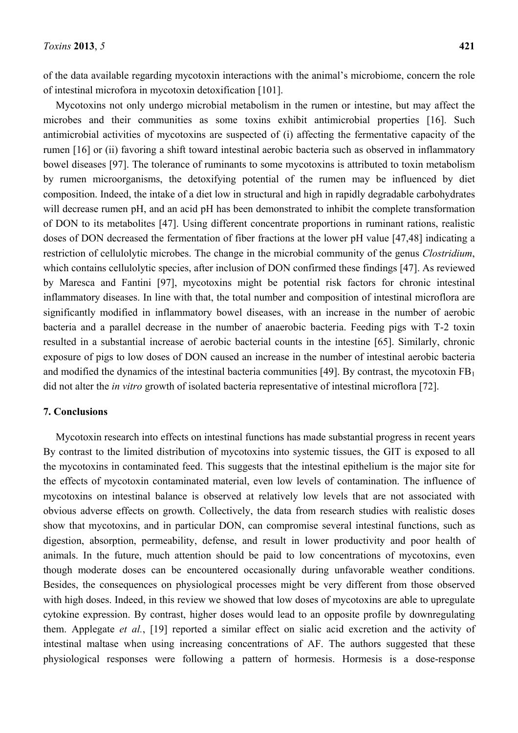of the data available regarding mycotoxin interactions with the animal's microbiome, concern the role of intestinal microfora in mycotoxin detoxification [101].

Mycotoxins not only undergo microbial metabolism in the rumen or intestine, but may affect the microbes and their communities as some toxins exhibit antimicrobial properties [16]. Such antimicrobial activities of mycotoxins are suspected of (i) affecting the fermentative capacity of the rumen [16] or (ii) favoring a shift toward intestinal aerobic bacteria such as observed in inflammatory bowel diseases [97]. The tolerance of ruminants to some mycotoxins is attributed to toxin metabolism by rumen microorganisms, the detoxifying potential of the rumen may be influenced by diet composition. Indeed, the intake of a diet low in structural and high in rapidly degradable carbohydrates will decrease rumen pH, and an acid pH has been demonstrated to inhibit the complete transformation of DON to its metabolites [47]. Using different concentrate proportions in ruminant rations, realistic doses of DON decreased the fermentation of fiber fractions at the lower pH value [47,48] indicating a restriction of cellulolytic microbes. The change in the microbial community of the genus *Clostridium*, which contains cellulolytic species, after inclusion of DON confirmed these findings [47]. As reviewed by Maresca and Fantini [97], mycotoxins might be potential risk factors for chronic intestinal inflammatory diseases. In line with that, the total number and composition of intestinal microflora are significantly modified in inflammatory bowel diseases, with an increase in the number of aerobic bacteria and a parallel decrease in the number of anaerobic bacteria. Feeding pigs with T-2 toxin resulted in a substantial increase of aerobic bacterial counts in the intestine [65]. Similarly, chronic exposure of pigs to low doses of DON caused an increase in the number of intestinal aerobic bacteria and modified the dynamics of the intestinal bacteria communities [49]. By contrast, the mycotoxin  $FB<sub>1</sub>$ did not alter the *in vitro* growth of isolated bacteria representative of intestinal microflora [72].

## **7. Conclusions**

Mycotoxin research into effects on intestinal functions has made substantial progress in recent years By contrast to the limited distribution of mycotoxins into systemic tissues, the GIT is exposed to all the mycotoxins in contaminated feed. This suggests that the intestinal epithelium is the major site for the effects of mycotoxin contaminated material, even low levels of contamination. The influence of mycotoxins on intestinal balance is observed at relatively low levels that are not associated with obvious adverse effects on growth. Collectively, the data from research studies with realistic doses show that mycotoxins, and in particular DON, can compromise several intestinal functions, such as digestion, absorption, permeability, defense, and result in lower productivity and poor health of animals. In the future, much attention should be paid to low concentrations of mycotoxins, even though moderate doses can be encountered occasionally during unfavorable weather conditions. Besides, the consequences on physiological processes might be very different from those observed with high doses. Indeed, in this review we showed that low doses of mycotoxins are able to upregulate cytokine expression. By contrast, higher doses would lead to an opposite profile by downregulating them. Applegate *et al.*, [19] reported a similar effect on sialic acid excretion and the activity of intestinal maltase when using increasing concentrations of AF. The authors suggested that these physiological responses were following a pattern of hormesis. Hormesis is a dose-response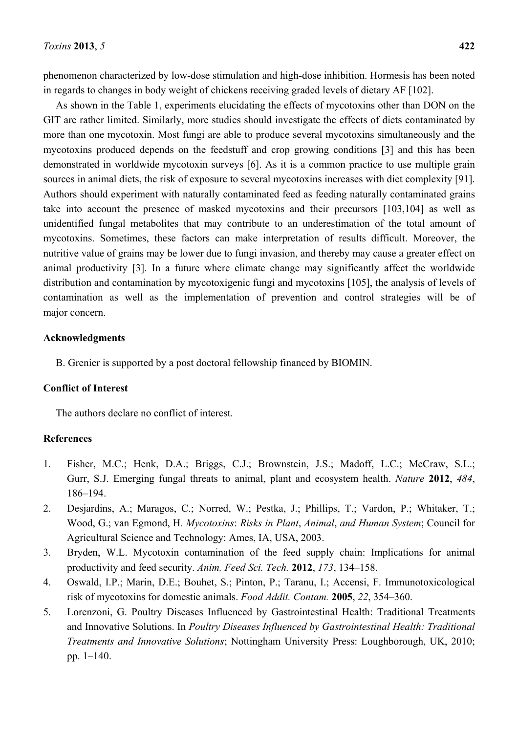phenomenon characterized by low-dose stimulation and high-dose inhibition. Hormesis has been noted in regards to changes in body weight of chickens receiving graded levels of dietary AF [102].

As shown in the Table 1, experiments elucidating the effects of mycotoxins other than DON on the GIT are rather limited. Similarly, more studies should investigate the effects of diets contaminated by more than one mycotoxin. Most fungi are able to produce several mycotoxins simultaneously and the mycotoxins produced depends on the feedstuff and crop growing conditions [3] and this has been demonstrated in worldwide mycotoxin surveys [6]. As it is a common practice to use multiple grain sources in animal diets, the risk of exposure to several mycotoxins increases with diet complexity [91]. Authors should experiment with naturally contaminated feed as feeding naturally contaminated grains take into account the presence of masked mycotoxins and their precursors [103,104] as well as unidentified fungal metabolites that may contribute to an underestimation of the total amount of mycotoxins. Sometimes, these factors can make interpretation of results difficult. Moreover, the nutritive value of grains may be lower due to fungi invasion, and thereby may cause a greater effect on animal productivity [3]. In a future where climate change may significantly affect the worldwide distribution and contamination by mycotoxigenic fungi and mycotoxins [105], the analysis of levels of contamination as well as the implementation of prevention and control strategies will be of major concern.

# **Acknowledgments**

B. Grenier is supported by a post doctoral fellowship financed by BIOMIN.

### **Conflict of Interest**

The authors declare no conflict of interest.

# **References**

- 1. Fisher, M.C.; Henk, D.A.; Briggs, C.J.; Brownstein, J.S.; Madoff, L.C.; McCraw, S.L.; Gurr, S.J. Emerging fungal threats to animal, plant and ecosystem health. *Nature* **2012**, *484*, 186–194.
- 2. Desjardins, A.; Maragos, C.; Norred, W.; Pestka, J.; Phillips, T.; Vardon, P.; Whitaker, T.; Wood, G.; van Egmond, H*. Mycotoxins*: *Risks in Plant*, *Animal*, *and Human System*; Council for Agricultural Science and Technology: Ames, IA, USA, 2003.
- 3. Bryden, W.L. Mycotoxin contamination of the feed supply chain: Implications for animal productivity and feed security. *Anim. Feed Sci. Tech.* **2012**, *173*, 134–158.
- 4. Oswald, I.P.; Marin, D.E.; Bouhet, S.; Pinton, P.; Taranu, I.; Accensi, F. Immunotoxicological risk of mycotoxins for domestic animals. *Food Addit. Contam.* **2005**, *22*, 354–360.
- 5. Lorenzoni, G. Poultry Diseases Influenced by Gastrointestinal Health: Traditional Treatments and Innovative Solutions. In *Poultry Diseases Influenced by Gastrointestinal Health: Traditional Treatments and Innovative Solutions*; Nottingham University Press: Loughborough, UK, 2010; pp. 1–140.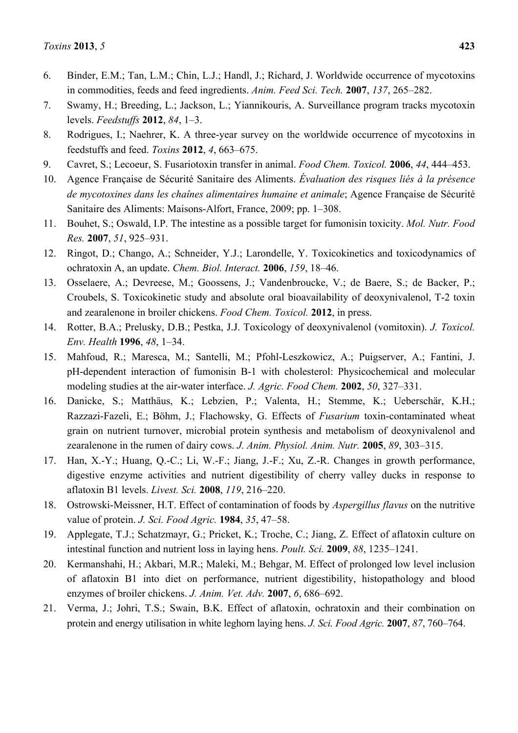- 6. Binder, E.M.; Tan, L.M.; Chin, L.J.; Handl, J.; Richard, J. Worldwide occurrence of mycotoxins in commodities, feeds and feed ingredients. *Anim. Feed Sci. Tech.* **2007**, *137*, 265–282.
- 7. Swamy, H.; Breeding, L.; Jackson, L.; Yiannikouris, A. Surveillance program tracks mycotoxin levels. *Feedstuffs* **2012**, *84*, 1–3.
- 8. Rodrigues, I.; Naehrer, K. A three-year survey on the worldwide occurrence of mycotoxins in feedstuffs and feed. *Toxins* **2012**, *4*, 663–675.
- 9. Cavret, S.; Lecoeur, S. Fusariotoxin transfer in animal. *Food Chem. Toxicol.* **2006**, *44*, 444–453.
- 10. Agence Française de Sécurité Sanitaire des Aliments. *Évaluation des risques liés à la présence de mycotoxines dans les chaînes alimentaires humaine et animale*; Agence Française de Sécurité Sanitaire des Aliments: Maisons-Alfort, France, 2009; pp. 1–308.
- 11. Bouhet, S.; Oswald, I.P. The intestine as a possible target for fumonisin toxicity. *Mol. Nutr. Food Res.* **2007**, *51*, 925–931.
- 12. Ringot, D.; Chango, A.; Schneider, Y.J.; Larondelle, Y. Toxicokinetics and toxicodynamics of ochratoxin A, an update. *Chem. Biol. Interact.* **2006**, *159*, 18–46.
- 13. Osselaere, A.; Devreese, M.; Goossens, J.; Vandenbroucke, V.; de Baere, S.; de Backer, P.; Croubels, S. Toxicokinetic study and absolute oral bioavailability of deoxynivalenol, T-2 toxin and zearalenone in broiler chickens. *Food Chem. Toxicol.* **2012**, in press.
- 14. Rotter, B.A.; Prelusky, D.B.; Pestka, J.J. Toxicology of deoxynivalenol (vomitoxin). *J. Toxicol. Env. Health* **1996**, *48*, 1–34.
- 15. Mahfoud, R.; Maresca, M.; Santelli, M.; Pfohl-Leszkowicz, A.; Puigserver, A.; Fantini, J. pH-dependent interaction of fumonisin B-1 with cholesterol: Physicochemical and molecular modeling studies at the air-water interface. *J. Agric. Food Chem.* **2002**, *50*, 327–331.
- 16. Danicke, S.; Matthäus, K.; Lebzien, P.; Valenta, H.; Stemme, K.; Ueberschär, K.H.; Razzazi-Fazeli, E.; Böhm, J.; Flachowsky, G. Effects of *Fusarium* toxin-contaminated wheat grain on nutrient turnover, microbial protein synthesis and metabolism of deoxynivalenol and zearalenone in the rumen of dairy cows. *J. Anim. Physiol. Anim. Nutr.* **2005**, *89*, 303–315.
- 17. Han, X.-Y.; Huang, Q.-C.; Li, W.-F.; Jiang, J.-F.; Xu, Z.-R. Changes in growth performance, digestive enzyme activities and nutrient digestibility of cherry valley ducks in response to aflatoxin B1 levels. *Livest. Sci.* **2008**, *119*, 216–220.
- 18. Ostrowski-Meissner, H.T. Effect of contamination of foods by *Aspergillus flavus* on the nutritive value of protein. *J. Sci. Food Agric.* **1984**, *35*, 47–58.
- 19. Applegate, T.J.; Schatzmayr, G.; Pricket, K.; Troche, C.; Jiang, Z. Effect of aflatoxin culture on intestinal function and nutrient loss in laying hens. *Poult. Sci.* **2009**, *88*, 1235–1241.
- 20. Kermanshahi, H.; Akbari, M.R.; Maleki, M.; Behgar, M. Effect of prolonged low level inclusion of aflatoxin B1 into diet on performance, nutrient digestibility, histopathology and blood enzymes of broiler chickens. *J. Anim. Vet. Adv.* **2007**, *6*, 686–692.
- 21. Verma, J.; Johri, T.S.; Swain, B.K. Effect of aflatoxin, ochratoxin and their combination on protein and energy utilisation in white leghorn laying hens. *J. Sci. Food Agric.* **2007**, *87*, 760–764.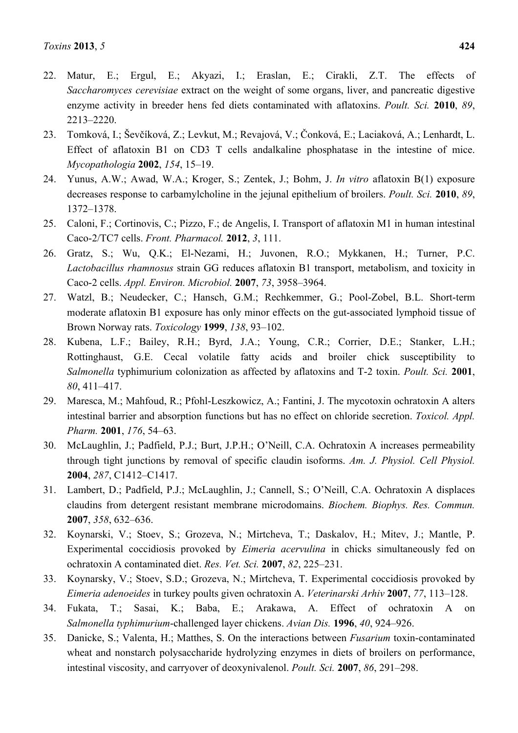- 22. Matur, E.; Ergul, E.; Akyazi, I.; Eraslan, E.; Cirakli, Z.T. The effects of *Saccharomyces cerevisiae* extract on the weight of some organs, liver, and pancreatic digestive enzyme activity in breeder hens fed diets contaminated with aflatoxins. *Poult. Sci.* **2010**, *89*, 2213–2220.
- 23. Tomková, I.; Ševčíková, Z.; Levkut, M.; Revajová, V.; Čonková, E.; Laciaková, A.; Lenhardt, L. Effect of aflatoxin B1 on CD3 T cells andalkaline phosphatase in the intestine of mice. *Mycopathologia* **2002**, *154*, 15–19.
- 24. Yunus, A.W.; Awad, W.A.; Kroger, S.; Zentek, J.; Bohm, J. *In vitro* aflatoxin B(1) exposure decreases response to carbamylcholine in the jejunal epithelium of broilers. *Poult. Sci.* **2010**, *89*, 1372–1378.
- 25. Caloni, F.; Cortinovis, C.; Pizzo, F.; de Angelis, I. Transport of aflatoxin M1 in human intestinal Caco-2/TC7 cells. *Front. Pharmacol.* **2012**, *3*, 111.
- 26. Gratz, S.; Wu, Q.K.; El-Nezami, H.; Juvonen, R.O.; Mykkanen, H.; Turner, P.C. *Lactobacillus rhamnosus* strain GG reduces aflatoxin B1 transport, metabolism, and toxicity in Caco-2 cells. *Appl. Environ. Microbiol.* **2007**, *73*, 3958–3964.
- 27. Watzl, B.; Neudecker, C.; Hansch, G.M.; Rechkemmer, G.; Pool-Zobel, B.L. Short-term moderate aflatoxin B1 exposure has only minor effects on the gut-associated lymphoid tissue of Brown Norway rats. *Toxicology* **1999**, *138*, 93–102.
- 28. Kubena, L.F.; Bailey, R.H.; Byrd, J.A.; Young, C.R.; Corrier, D.E.; Stanker, L.H.; Rottinghaust, G.E. Cecal volatile fatty acids and broiler chick susceptibility to *Salmonella* typhimurium colonization as affected by aflatoxins and T-2 toxin. *Poult. Sci.* **2001**, *80*, 411–417.
- 29. Maresca, M.; Mahfoud, R.; Pfohl-Leszkowicz, A.; Fantini, J. The mycotoxin ochratoxin A alters intestinal barrier and absorption functions but has no effect on chloride secretion. *Toxicol. Appl. Pharm.* **2001**, *176*, 54–63.
- 30. McLaughlin, J.; Padfield, P.J.; Burt, J.P.H.; O'Neill, C.A. Ochratoxin A increases permeability through tight junctions by removal of specific claudin isoforms. *Am. J. Physiol. Cell Physiol.*  **2004**, *287*, C1412–C1417.
- 31. Lambert, D.; Padfield, P.J.; McLaughlin, J.; Cannell, S.; O'Neill, C.A. Ochratoxin A displaces claudins from detergent resistant membrane microdomains. *Biochem. Biophys. Res. Commun.*  **2007**, *358*, 632–636.
- 32. Koynarski, V.; Stoev, S.; Grozeva, N.; Mirtcheva, T.; Daskalov, H.; Mitev, J.; Mantle, P. Experimental coccidiosis provoked by *Eimeria acervulina* in chicks simultaneously fed on ochratoxin A contaminated diet. *Res. Vet. Sci.* **2007**, *82*, 225–231.
- 33. Koynarsky, V.; Stoev, S.D.; Grozeva, N.; Mirtcheva, T. Experimental coccidiosis provoked by *Eimeria adenoeides* in turkey poults given ochratoxin A. *Veterinarski Arhiv* **2007**, *77*, 113–128.
- 34. Fukata, T.; Sasai, K.; Baba, E.; Arakawa, A. Effect of ochratoxin A on *Salmonella typhimurium*-challenged layer chickens. *Avian Dis.* **1996**, *40*, 924–926.
- 35. Danicke, S.; Valenta, H.; Matthes, S. On the interactions between *Fusarium* toxin-contaminated wheat and nonstarch polysaccharide hydrolyzing enzymes in diets of broilers on performance, intestinal viscosity, and carryover of deoxynivalenol. *Poult. Sci.* **2007**, *86*, 291–298.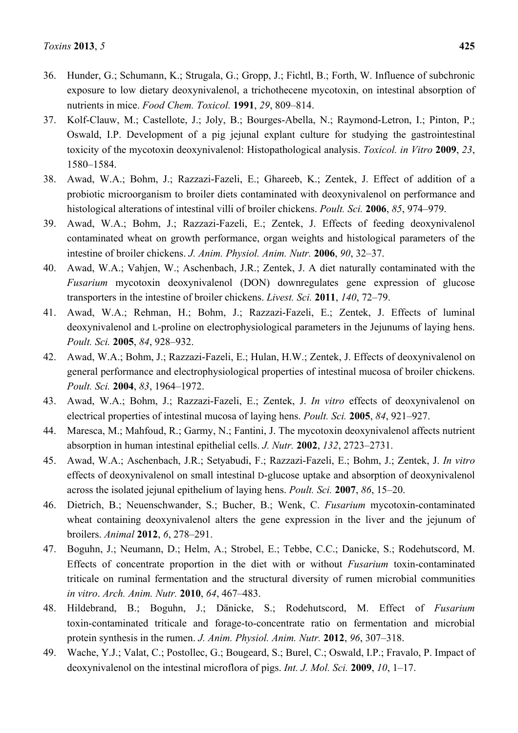- nutrients in mice. *Food Chem. Toxicol.* **1991**, *29*, 809–814. 37. Kolf-Clauw, M.; Castellote, J.; Joly, B.; Bourges-Abella, N.; Raymond-Letron, I.; Pinton, P.; Oswald, I.P. Development of a pig jejunal explant culture for studying the gastrointestinal toxicity of the mycotoxin deoxynivalenol: Histopathological analysis. *Toxicol. in Vitro* **2009**, *23*, 1580–1584.
- 38. Awad, W.A.; Bohm, J.; Razzazi-Fazeli, E.; Ghareeb, K.; Zentek, J. Effect of addition of a probiotic microorganism to broiler diets contaminated with deoxynivalenol on performance and histological alterations of intestinal villi of broiler chickens. *Poult. Sci.* **2006**, *85*, 974–979.
- 39. Awad, W.A.; Bohm, J.; Razzazi-Fazeli, E.; Zentek, J. Effects of feeding deoxynivalenol contaminated wheat on growth performance, organ weights and histological parameters of the intestine of broiler chickens. *J. Anim. Physiol. Anim. Nutr.* **2006**, *90*, 32–37.
- 40. Awad, W.A.; Vahjen, W.; Aschenbach, J.R.; Zentek, J. A diet naturally contaminated with the *Fusarium* mycotoxin deoxynivalenol (DON) downregulates gene expression of glucose transporters in the intestine of broiler chickens. *Livest. Sci.* **2011**, *140*, 72–79.
- 41. Awad, W.A.; Rehman, H.; Bohm, J.; Razzazi-Fazeli, E.; Zentek, J. Effects of luminal deoxynivalenol and L-proline on electrophysiological parameters in the Jejunums of laying hens. *Poult. Sci.* **2005**, *84*, 928–932.
- 42. Awad, W.A.; Bohm, J.; Razzazi-Fazeli, E.; Hulan, H.W.; Zentek, J. Effects of deoxynivalenol on general performance and electrophysiological properties of intestinal mucosa of broiler chickens. *Poult. Sci.* **2004**, *83*, 1964–1972.
- 43. Awad, W.A.; Bohm, J.; Razzazi-Fazeli, E.; Zentek, J. *In vitro* effects of deoxynivalenol on electrical properties of intestinal mucosa of laying hens. *Poult. Sci.* **2005**, *84*, 921–927.
- 44. Maresca, M.; Mahfoud, R.; Garmy, N.; Fantini, J. The mycotoxin deoxynivalenol affects nutrient absorption in human intestinal epithelial cells. *J. Nutr.* **2002**, *132*, 2723–2731.
- 45. Awad, W.A.; Aschenbach, J.R.; Setyabudi, F.; Razzazi-Fazeli, E.; Bohm, J.; Zentek, J. *In vitro* effects of deoxynivalenol on small intestinal D-glucose uptake and absorption of deoxynivalenol across the isolated jejunal epithelium of laying hens. *Poult. Sci.* **2007**, *86*, 15–20.
- 46. Dietrich, B.; Neuenschwander, S.; Bucher, B.; Wenk, C. *Fusarium* mycotoxin-contaminated wheat containing deoxynivalenol alters the gene expression in the liver and the jejunum of broilers. *Animal* **2012**, *6*, 278–291.
- 47. Boguhn, J.; Neumann, D.; Helm, A.; Strobel, E.; Tebbe, C.C.; Danicke, S.; Rodehutscord, M. Effects of concentrate proportion in the diet with or without *Fusarium* toxin-contaminated triticale on ruminal fermentation and the structural diversity of rumen microbial communities *in vitro*. *Arch. Anim. Nutr.* **2010**, *64*, 467–483.
- 48. Hildebrand, B.; Boguhn, J.; Dänicke, S.; Rodehutscord, M. Effect of *Fusarium* toxin-contaminated triticale and forage-to-concentrate ratio on fermentation and microbial protein synthesis in the rumen. *J. Anim. Physiol. Anim. Nutr.* **2012**, *96*, 307–318.
- 49. Wache, Y.J.; Valat, C.; Postollec, G.; Bougeard, S.; Burel, C.; Oswald, I.P.; Fravalo, P. Impact of deoxynivalenol on the intestinal microflora of pigs. *Int. J. Mol. Sci.* **2009**, *10*, 1–17.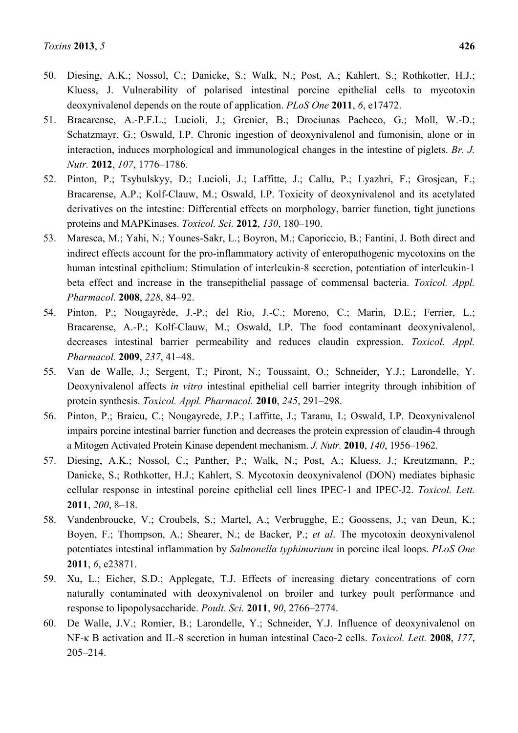- 50. Diesing, A.K.; Nossol, C.; Danicke, S.; Walk, N.; Post, A.; Kahlert, S.; Rothkotter, H.J.; Kluess, J. Vulnerability of polarised intestinal porcine epithelial cells to mycotoxin deoxynivalenol depends on the route of application. *PLoS One* **2011**, *6*, e17472.
- 51. Bracarense, A.-P.F.L.; Lucioli, J.; Grenier, B.; Drociunas Pacheco, G.; Moll, W.-D.; Schatzmayr, G.; Oswald, I.P. Chronic ingestion of deoxynivalenol and fumonisin, alone or in interaction, induces morphological and immunological changes in the intestine of piglets. *Br. J. Nutr.* **2012**, *107*, 1776–1786.
- 52. Pinton, P.; Tsybulskyy, D.; Lucioli, J.; Laffitte, J.; Callu, P.; Lyazhri, F.; Grosjean, F.; Bracarense, A.P.; Kolf-Clauw, M.; Oswald, I.P. Toxicity of deoxynivalenol and its acetylated derivatives on the intestine: Differential effects on morphology, barrier function, tight junctions proteins and MAPKinases. *Toxicol. Sci.* **2012**, *130*, 180–190.
- 53. Maresca, M.; Yahi, N.; Younes-Sakr, L.; Boyron, M.; Caporiccio, B.; Fantini, J. Both direct and indirect effects account for the pro-inflammatory activity of enteropathogenic mycotoxins on the human intestinal epithelium: Stimulation of interleukin-8 secretion, potentiation of interleukin-1 beta effect and increase in the transepithelial passage of commensal bacteria. *Toxicol. Appl. Pharmacol.* **2008**, *228*, 84–92.
- 54. Pinton, P.; Nougayrède, J.-P.; del Rio, J.-C.; Moreno, C.; Marin, D.E.; Ferrier, L.; Bracarense, A.-P.; Kolf-Clauw, M.; Oswald, I.P. The food contaminant deoxynivalenol, decreases intestinal barrier permeability and reduces claudin expression. *Toxicol. Appl. Pharmacol.* **2009**, *237*, 41–48.
- 55. Van de Walle, J.; Sergent, T.; Piront, N.; Toussaint, O.; Schneider, Y.J.; Larondelle, Y. Deoxynivalenol affects *in vitro* intestinal epithelial cell barrier integrity through inhibition of protein synthesis. *Toxicol. Appl. Pharmacol.* **2010**, *245*, 291–298.
- 56. Pinton, P.; Braicu, C.; Nougayrede, J.P.; Laffitte, J.; Taranu, I.; Oswald, I.P. Deoxynivalenol impairs porcine intestinal barrier function and decreases the protein expression of claudin-4 through a Mitogen Activated Protein Kinase dependent mechanism. *J. Nutr.* **2010**, *140*, 1956–1962.
- 57. Diesing, A.K.; Nossol, C.; Panther, P.; Walk, N.; Post, A.; Kluess, J.; Kreutzmann, P.; Danicke, S.; Rothkotter, H.J.; Kahlert, S. Mycotoxin deoxynivalenol (DON) mediates biphasic cellular response in intestinal porcine epithelial cell lines IPEC-1 and IPEC-J2. *Toxicol. Lett.*  **2011**, *200*, 8–18.
- 58. Vandenbroucke, V.; Croubels, S.; Martel, A.; Verbrugghe, E.; Goossens, J.; van Deun, K.; Boyen, F.; Thompson, A.; Shearer, N.; de Backer, P.; *et al*. The mycotoxin deoxynivalenol potentiates intestinal inflammation by *Salmonella typhimurium* in porcine ileal loops. *PLoS One*  **2011**, *6*, e23871.
- 59. Xu, L.; Eicher, S.D.; Applegate, T.J. Effects of increasing dietary concentrations of corn naturally contaminated with deoxynivalenol on broiler and turkey poult performance and response to lipopolysaccharide. *Poult. Sci.* **2011**, *90*, 2766–2774.
- 60. De Walle, J.V.; Romier, B.; Larondelle, Y.; Schneider, Y.J. Influence of deoxynivalenol on NF-κ B activation and IL-8 secretion in human intestinal Caco-2 cells. *Toxicol. Lett.* **2008**, *177*, 205–214.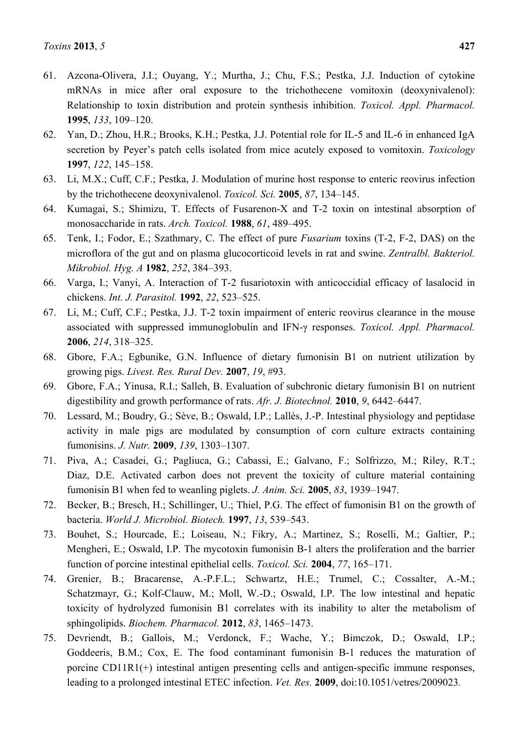- 61. Azcona-Olivera, J.I.; Ouyang, Y.; Murtha, J.; Chu, F.S.; Pestka, J.J. Induction of cytokine mRNAs in mice after oral exposure to the trichothecene vomitoxin (deoxynivalenol): Relationship to toxin distribution and protein synthesis inhibition. *Toxicol. Appl. Pharmacol.*  **1995**, *133*, 109–120.
- 62. Yan, D.; Zhou, H.R.; Brooks, K.H.; Pestka, J.J. Potential role for IL-5 and IL-6 in enhanced IgA secretion by Peyer's patch cells isolated from mice acutely exposed to vomitoxin. *Toxicology*  **1997**, *122*, 145–158.
- 63. Li, M.X.; Cuff, C.F.; Pestka, J. Modulation of murine host response to enteric reovirus infection by the trichothecene deoxynivalenol. *Toxicol. Sci.* **2005**, *87*, 134–145.
- 64. Kumagai, S.; Shimizu, T. Effects of Fusarenon-X and T-2 toxin on intestinal absorption of monosaccharide in rats. *Arch. Toxicol.* **1988**, *61*, 489–495.
- 65. Tenk, I.; Fodor, E.; Szathmary, C. The effect of pure *Fusarium* toxins (T-2, F-2, DAS) on the microflora of the gut and on plasma glucocorticoid levels in rat and swine. *Zentralbl. Bakteriol. Mikrobiol. Hyg. A* **1982**, *252*, 384–393.
- 66. Varga, I.; Vanyi, A. Interaction of T-2 fusariotoxin with anticoccidial efficacy of lasalocid in chickens. *Int. J. Parasitol.* **1992**, *22*, 523–525.
- 67. Li, M.; Cuff, C.F.; Pestka, J.J. T-2 toxin impairment of enteric reovirus clearance in the mouse associated with suppressed immunoglobulin and IFN-γ responses. *Toxicol. Appl. Pharmacol.*  **2006**, *214*, 318–325.
- 68. Gbore, F.A.; Egbunike, G.N. Influence of dietary fumonisin B1 on nutrient utilization by growing pigs. *Livest. Res. Rural Dev.* **2007**, *19*, #93.
- 69. Gbore, F.A.; Yinusa, R.I.; Salleh, B. Evaluation of subchronic dietary fumonisin B1 on nutrient digestibility and growth performance of rats. *Afr. J. Biotechnol.* **2010**, *9*, 6442–6447.
- 70. Lessard, M.; Boudry, G.; Sève, B.; Oswald, I.P.; Lallès, J.-P. Intestinal physiology and peptidase activity in male pigs are modulated by consumption of corn culture extracts containing fumonisins. *J. Nutr.* **2009**, *139*, 1303–1307.
- 71. Piva, A.; Casadei, G.; Pagliuca, G.; Cabassi, E.; Galvano, F.; Solfrizzo, M.; Riley, R.T.; Diaz, D.E. Activated carbon does not prevent the toxicity of culture material containing fumonisin B1 when fed to weanling piglets. *J. Anim. Sci.* **2005**, *83*, 1939–1947.
- 72. Becker, B.; Bresch, H.; Schillinger, U.; Thiel, P.G. The effect of fumonisin B1 on the growth of bacteria. *World J. Microbiol. Biotech.* **1997**, *13*, 539–543.
- 73. Bouhet, S.; Hourcade, E.; Loiseau, N.; Fikry, A.; Martinez, S.; Roselli, M.; Galtier, P.; Mengheri, E.; Oswald, I.P. The mycotoxin fumonisin B-1 alters the proliferation and the barrier function of porcine intestinal epithelial cells. *Toxicol. Sci.* **2004**, *77*, 165–171.
- 74. Grenier, B.; Bracarense, A.-P.F.L.; Schwartz, H.E.; Trumel, C.; Cossalter, A.-M.; Schatzmayr, G.; Kolf-Clauw, M.; Moll, W.-D.; Oswald, I.P. The low intestinal and hepatic toxicity of hydrolyzed fumonisin B1 correlates with its inability to alter the metabolism of sphingolipids. *Biochem. Pharmacol.* **2012**, *83*, 1465–1473.
- 75. Devriendt, B.; Gallois, M.; Verdonck, F.; Wache, Y.; Bimczok, D.; Oswald, I.P.; Goddeeris, B.M.; Cox, E. The food contaminant fumonisin B-1 reduces the maturation of porcine CD11R1(+) intestinal antigen presenting cells and antigen-specific immune responses, leading to a prolonged intestinal ETEC infection. *Vet. Res.* **2009**, doi:10.1051/vetres/2009023*.*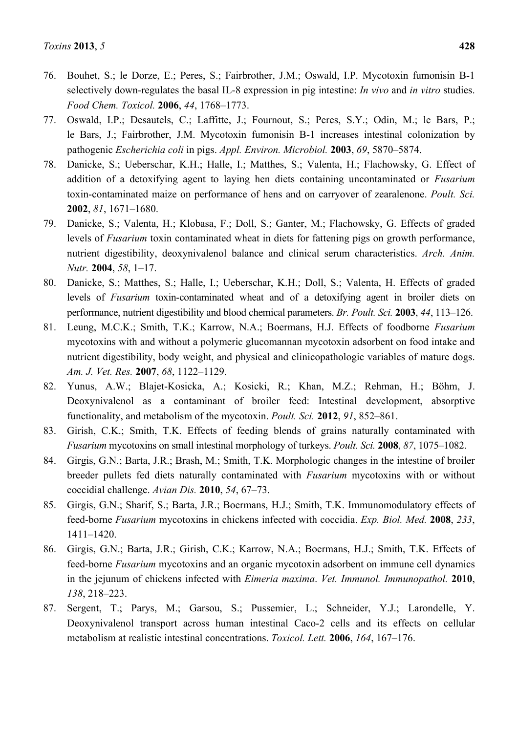- 76. Bouhet, S.; le Dorze, E.; Peres, S.; Fairbrother, J.M.; Oswald, I.P. Mycotoxin fumonisin B-1 selectively down-regulates the basal IL-8 expression in pig intestine: *In vivo* and *in vitro* studies. *Food Chem. Toxicol.* **2006**, *44*, 1768–1773.
- 77. Oswald, I.P.; Desautels, C.; Laffitte, J.; Fournout, S.; Peres, S.Y.; Odin, M.; le Bars, P.; le Bars, J.; Fairbrother, J.M. Mycotoxin fumonisin B-1 increases intestinal colonization by pathogenic *Escherichia coli* in pigs. *Appl. Environ. Microbiol.* **2003**, *69*, 5870–5874.
- 78. Danicke, S.; Ueberschar, K.H.; Halle, I.; Matthes, S.; Valenta, H.; Flachowsky, G. Effect of addition of a detoxifying agent to laying hen diets containing uncontaminated or *Fusarium* toxin-contaminated maize on performance of hens and on carryover of zearalenone. *Poult. Sci.*  **2002**, *81*, 1671–1680.
- 79. Danicke, S.; Valenta, H.; Klobasa, F.; Doll, S.; Ganter, M.; Flachowsky, G. Effects of graded levels of *Fusarium* toxin contaminated wheat in diets for fattening pigs on growth performance, nutrient digestibility, deoxynivalenol balance and clinical serum characteristics. *Arch. Anim. Nutr.* **2004**, *58*, 1–17.
- 80. Danicke, S.; Matthes, S.; Halle, I.; Ueberschar, K.H.; Doll, S.; Valenta, H. Effects of graded levels of *Fusarium* toxin-contaminated wheat and of a detoxifying agent in broiler diets on performance, nutrient digestibility and blood chemical parameters. *Br. Poult. Sci.* **2003**, *44*, 113–126.
- 81. Leung, M.C.K.; Smith, T.K.; Karrow, N.A.; Boermans, H.J. Effects of foodborne *Fusarium* mycotoxins with and without a polymeric glucomannan mycotoxin adsorbent on food intake and nutrient digestibility, body weight, and physical and clinicopathologic variables of mature dogs. *Am. J. Vet. Res.* **2007**, *68*, 1122–1129.
- 82. Yunus, A.W.; Blajet-Kosicka, A.; Kosicki, R.; Khan, M.Z.; Rehman, H.; Böhm, J. Deoxynivalenol as a contaminant of broiler feed: Intestinal development, absorptive functionality, and metabolism of the mycotoxin. *Poult. Sci.* **2012**, *91*, 852–861.
- 83. Girish, C.K.; Smith, T.K. Effects of feeding blends of grains naturally contaminated with *Fusarium* mycotoxins on small intestinal morphology of turkeys. *Poult. Sci.* **2008**, *87*, 1075–1082.
- 84. Girgis, G.N.; Barta, J.R.; Brash, M.; Smith, T.K. Morphologic changes in the intestine of broiler breeder pullets fed diets naturally contaminated with *Fusarium* mycotoxins with or without coccidial challenge. *Avian Dis.* **2010**, *54*, 67–73.
- 85. Girgis, G.N.; Sharif, S.; Barta, J.R.; Boermans, H.J.; Smith, T.K. Immunomodulatory effects of feed-borne *Fusarium* mycotoxins in chickens infected with coccidia. *Exp. Biol. Med.* **2008**, *233*, 1411–1420.
- 86. Girgis, G.N.; Barta, J.R.; Girish, C.K.; Karrow, N.A.; Boermans, H.J.; Smith, T.K. Effects of feed-borne *Fusarium* mycotoxins and an organic mycotoxin adsorbent on immune cell dynamics in the jejunum of chickens infected with *Eimeria maxima*. *Vet. Immunol. Immunopathol.* **2010**, *138*, 218–223.
- 87. Sergent, T.; Parys, M.; Garsou, S.; Pussemier, L.; Schneider, Y.J.; Larondelle, Y. Deoxynivalenol transport across human intestinal Caco-2 cells and its effects on cellular metabolism at realistic intestinal concentrations. *Toxicol. Lett.* **2006**, *164*, 167–176.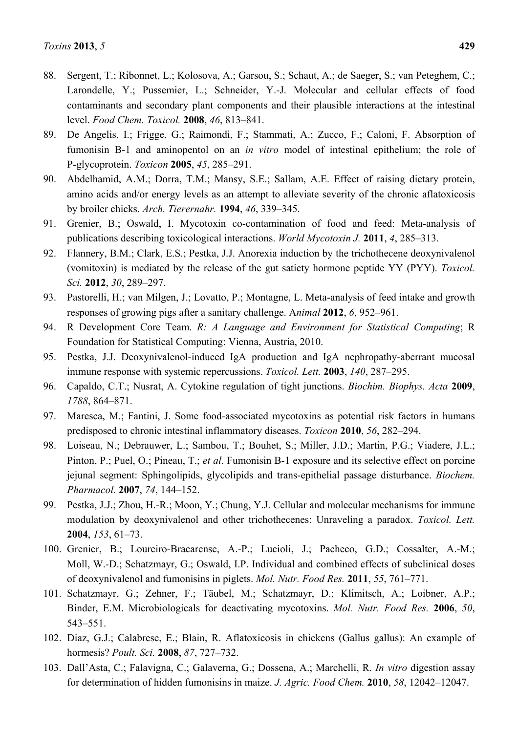- 88. Sergent, T.; Ribonnet, L.; Kolosova, A.; Garsou, S.; Schaut, A.; de Saeger, S.; van Peteghem, C.; Larondelle, Y.; Pussemier, L.; Schneider, Y.-J. Molecular and cellular effects of food contaminants and secondary plant components and their plausible interactions at the intestinal level. *Food Chem. Toxicol.* **2008**, *46*, 813–841.
- 89. De Angelis, I.; Frigge, G.; Raimondi, F.; Stammati, A.; Zucco, F.; Caloni, F. Absorption of fumonisin B-1 and aminopentol on an *in vitro* model of intestinal epithelium; the role of P-glycoprotein. *Toxicon* **2005**, *45*, 285–291.
- 90. Abdelhamid, A.M.; Dorra, T.M.; Mansy, S.E.; Sallam, A.E. Effect of raising dietary protein, amino acids and/or energy levels as an attempt to alleviate severity of the chronic aflatoxicosis by broiler chicks. *Arch. Tierernahr.* **1994**, *46*, 339–345.
- 91. Grenier, B.; Oswald, I. Mycotoxin co-contamination of food and feed: Meta-analysis of publications describing toxicological interactions. *World Mycotoxin J.* **2011**, *4*, 285–313.
- 92. Flannery, B.M.; Clark, E.S.; Pestka, J.J. Anorexia induction by the trichothecene deoxynivalenol (vomitoxin) is mediated by the release of the gut satiety hormone peptide YY (PYY). *Toxicol. Sci.* **2012**, *30*, 289–297.
- 93. Pastorelli, H.; van Milgen, J.; Lovatto, P.; Montagne, L. Meta-analysis of feed intake and growth responses of growing pigs after a sanitary challenge. A*nimal* **2012**, *6*, 952–961.
- 94. R Development Core Team. *R: A Language and Environment for Statistical Computing*; R Foundation for Statistical Computing: Vienna, Austria, 2010.
- 95. Pestka, J.J. Deoxynivalenol-induced IgA production and IgA nephropathy-aberrant mucosal immune response with systemic repercussions. *Toxicol. Lett.* **2003**, *140*, 287–295.
- 96. Capaldo, C.T.; Nusrat, A. Cytokine regulation of tight junctions. *Biochim. Biophys. Acta* **2009**, *1788*, 864–871.
- 97. Maresca, M.; Fantini, J. Some food-associated mycotoxins as potential risk factors in humans predisposed to chronic intestinal inflammatory diseases. *Toxicon* **2010**, *56*, 282–294.
- 98. Loiseau, N.; Debrauwer, L.; Sambou, T.; Bouhet, S.; Miller, J.D.; Martin, P.G.; Viadere, J.L.; Pinton, P.; Puel, O.; Pineau, T.; *et al*. Fumonisin B-1 exposure and its selective effect on porcine jejunal segment: Sphingolipids, glycolipids and trans-epithelial passage disturbance. *Biochem. Pharmacol.* **2007**, *74*, 144–152.
- 99. Pestka, J.J.; Zhou, H.-R.; Moon, Y.; Chung, Y.J. Cellular and molecular mechanisms for immune modulation by deoxynivalenol and other trichothecenes: Unraveling a paradox. *Toxicol. Lett.*  **2004**, *153*, 61–73.
- 100. Grenier, B.; Loureiro-Bracarense, A.-P.; Lucioli, J.; Pacheco, G.D.; Cossalter, A.-M.; Moll, W.-D.; Schatzmayr, G.; Oswald, I.P. Individual and combined effects of subclinical doses of deoxynivalenol and fumonisins in piglets. *Mol. Nutr. Food Res.* **2011**, *55*, 761–771.
- 101. Schatzmayr, G.; Zehner, F.; Täubel, M.; Schatzmayr, D.; Klimitsch, A.; Loibner, A.P.; Binder, E.M. Microbiologicals for deactivating mycotoxins. *Mol. Nutr. Food Res.* **2006**, *50*, 543–551.
- 102. Diaz, G.J.; Calabrese, E.; Blain, R. Aflatoxicosis in chickens (Gallus gallus): An example of hormesis? *Poult. Sci.* **2008**, *87*, 727–732.
- 103. Dall'Asta, C.; Falavigna, C.; Galaverna, G.; Dossena, A.; Marchelli, R. *In vitro* digestion assay for determination of hidden fumonisins in maize. *J. Agric. Food Chem.* **2010**, *58*, 12042–12047.